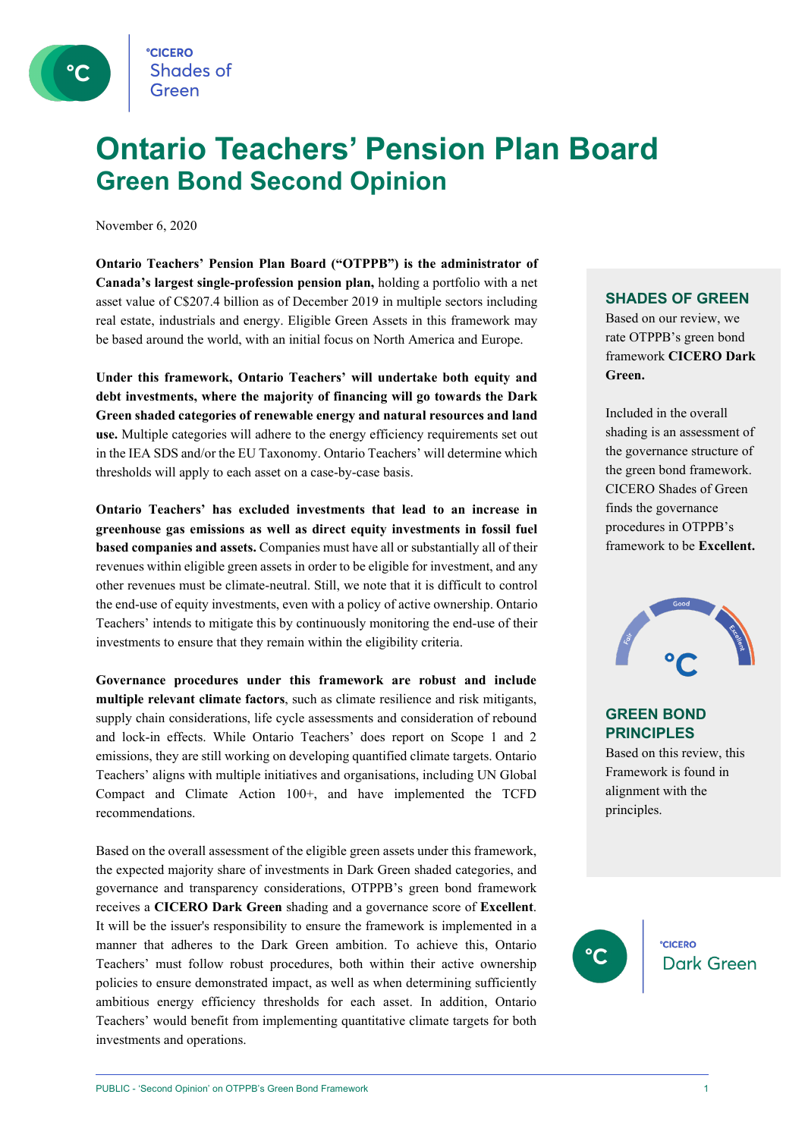

### **Ontario Teachers' Pension Plan Board Green Bond Second Opinion**

November 6, 2020

**Ontario Teachers' Pension Plan Board ("OTPPB") is the administrator of Canada's largest single-profession pension plan,** holding a portfolio with a net asset value of C\$207.4 billion as of December 2019 in multiple sectors including real estate, industrials and energy. Eligible Green Assets in this framework may be based around the world, with an initial focus on North America and Europe.

**Under this framework, Ontario Teachers' will undertake both equity and debt investments, where the majority of financing will go towards the Dark Green shaded categories of renewable energy and natural resources and land use.** Multiple categories will adhere to the energy efficiency requirements set out in the IEA SDS and/or the EU Taxonomy. Ontario Teachers' will determine which thresholds will apply to each asset on a case-by-case basis.

**Ontario Teachers' has excluded investments that lead to an increase in greenhouse gas emissions as well as direct equity investments in fossil fuel based companies and assets.** Companies must have all or substantially all of their revenues within eligible green assets in order to be eligible for investment, and any other revenues must be climate-neutral. Still, we note that it is difficult to control the end-use of equity investments, even with a policy of active ownership. Ontario Teachers' intends to mitigate this by continuously monitoring the end-use of their investments to ensure that they remain within the eligibility criteria.

**Governance procedures under this framework are robust and include multiple relevant climate factors**, such as climate resilience and risk mitigants, supply chain considerations, life cycle assessments and consideration of rebound and lock-in effects. While Ontario Teachers' does report on Scope 1 and 2 emissions, they are still working on developing quantified climate targets. Ontario Teachers' aligns with multiple initiatives and organisations, including UN Global Compact and Climate Action 100+, and have implemented the TCFD recommendations.

Based on the overall assessment of the eligible green assets under this framework, the expected majority share of investments in Dark Green shaded categories, and governance and transparency considerations, OTPPB's green bond framework receives a **CICERO Dark Green** shading and a governance score of **Excellent**. It will be the issuer's responsibility to ensure the framework is implemented in a manner that adheres to the Dark Green ambition. To achieve this, Ontario Teachers' must follow robust procedures, both within their active ownership policies to ensure demonstrated impact, as well as when determining sufficiently ambitious energy efficiency thresholds for each asset. In addition, Ontario Teachers' would benefit from implementing quantitative climate targets for both investments and operations.

#### **SHADES OF GREEN**

Based on our review, we rate OTPPB's green bond framework **CICERO Dark Green.** 

Included in the overall shading is an assessment of the governance structure of the green bond framework. CICERO Shades of Green finds the governance procedures in OTPPB's framework to be **Excellent.**



#### **GREEN BOND PRINCIPLES**

Based on this review, this Framework is found in alignment with the principles.

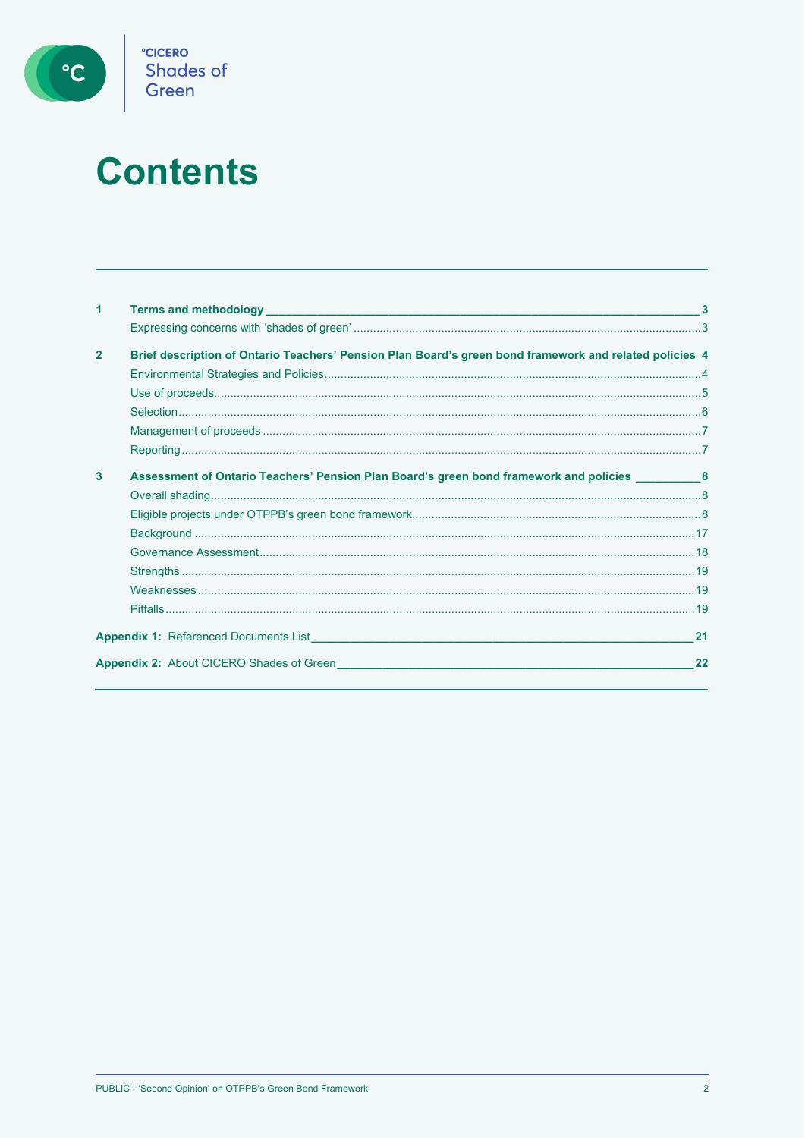

# **Contents**

| 1              |                                                                                                         |    |
|----------------|---------------------------------------------------------------------------------------------------------|----|
|                |                                                                                                         |    |
| $\overline{2}$ | Brief description of Ontario Teachers' Pension Plan Board's green bond framework and related policies 4 |    |
|                |                                                                                                         |    |
|                |                                                                                                         |    |
|                |                                                                                                         |    |
|                |                                                                                                         |    |
|                |                                                                                                         |    |
| 3              | Assessment of Ontario Teachers' Pension Plan Board's green bond framework and policies 68               |    |
|                |                                                                                                         |    |
|                |                                                                                                         |    |
|                |                                                                                                         |    |
|                |                                                                                                         |    |
|                |                                                                                                         |    |
|                |                                                                                                         |    |
|                |                                                                                                         |    |
|                | <b>Appendix 1:</b> Referenced Documents List <b>Example 2018</b>                                        | 21 |
|                | <b>Appendix 2: About CICERO Shades of Green</b>                                                         | 22 |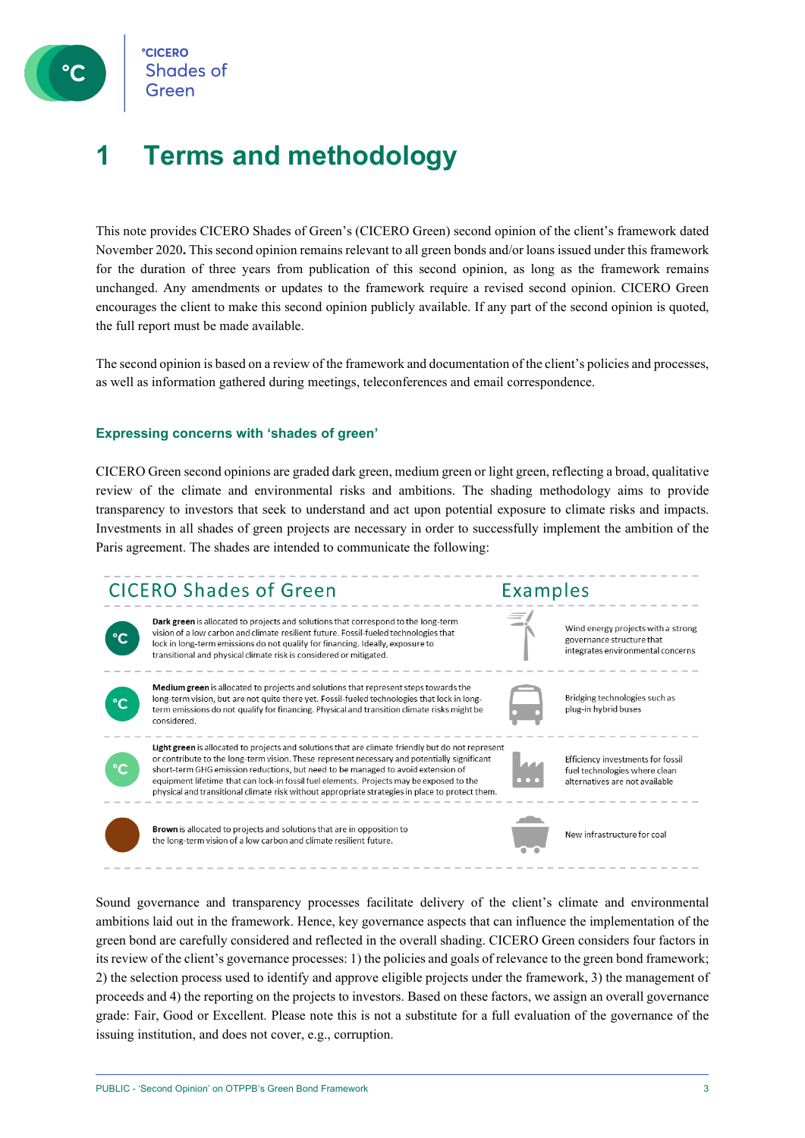

**CICERC Shades of** 

## **1 Terms and methodology**

This note provides CICERO Shades of Green's (CICERO Green) second opinion of the client's framework dated November 2020**.** This second opinion remains relevant to all green bonds and/or loans issued under this framework for the duration of three years from publication of this second opinion, as long as the framework remains unchanged. Any amendments or updates to the framework require a revised second opinion. CICERO Green encourages the client to make this second opinion publicly available. If any part of the second opinion is quoted, the full report must be made available.

The second opinion is based on a review of the framework and documentation of the client's policies and processes, as well as information gathered during meetings, teleconferences and email correspondence.

#### **Expressing concerns with 'shades of green'**

CICERO Green second opinions are graded dark green, medium green or light green, reflecting a broad, qualitative review of the climate and environmental risks and ambitions. The shading methodology aims to provide transparency to investors that seek to understand and act upon potential exposure to climate risks and impacts. Investments in all shades of green projects are necessary in order to successfully implement the ambition of the Paris agreement. The shades are intended to communicate the following:



Sound governance and transparency processes facilitate delivery of the client's climate and environmental ambitions laid out in the framework. Hence, key governance aspects that can influence the implementation of the green bond are carefully considered and reflected in the overall shading. CICERO Green considers four factors in its review of the client's governance processes: 1) the policies and goals of relevance to the green bond framework; 2) the selection process used to identify and approve eligible projects under the framework, 3) the management of proceeds and 4) the reporting on the projects to investors. Based on these factors, we assign an overall governance grade: Fair, Good or Excellent. Please note this is not a substitute for a full evaluation of the governance of the issuing institution, and does not cover, e.g., corruption.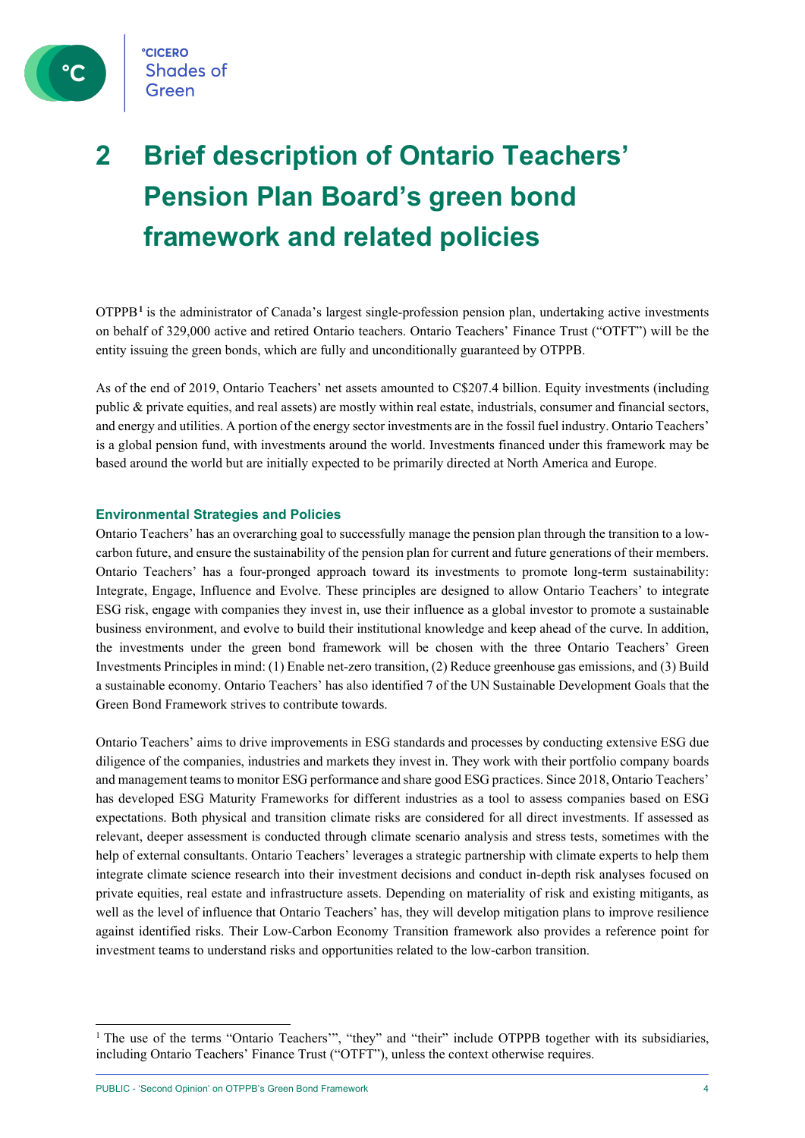

**CICERO Shades of** Green

## **2 Brief description of Ontario Teachers' Pension Plan Board's green bond framework and related policies**

OTPPB**[1](#page-3-0)** is the administrator of Canada's largest single-profession pension plan, undertaking active investments on behalf of 329,000 active and retired Ontario teachers. Ontario Teachers' Finance Trust ("OTFT") will be the entity issuing the green bonds, which are fully and unconditionally guaranteed by OTPPB.

As of the end of 2019, Ontario Teachers' net assets amounted to C\$207.4 billion. Equity investments (including public & private equities, and real assets) are mostly within real estate, industrials, consumer and financial sectors, and energy and utilities. A portion of the energy sector investments are in the fossil fuel industry. Ontario Teachers' is a global pension fund, with investments around the world. Investments financed under this framework may be based around the world but are initially expected to be primarily directed at North America and Europe.

#### **Environmental Strategies and Policies**

Ontario Teachers' has an overarching goal to successfully manage the pension plan through the transition to a lowcarbon future, and ensure the sustainability of the pension plan for current and future generations of their members. Ontario Teachers' has a four-pronged approach toward its investments to promote long-term sustainability: Integrate, Engage, Influence and Evolve. These principles are designed to allow Ontario Teachers' to integrate ESG risk, engage with companies they invest in, use their influence as a global investor to promote a sustainable business environment, and evolve to build their institutional knowledge and keep ahead of the curve. In addition, the investments under the green bond framework will be chosen with the three Ontario Teachers' Green Investments Principles in mind: (1) Enable net-zero transition, (2) Reduce greenhouse gas emissions, and (3) Build a sustainable economy. Ontario Teachers' has also identified 7 of the UN Sustainable Development Goals that the Green Bond Framework strives to contribute towards.

Ontario Teachers' aims to drive improvements in ESG standards and processes by conducting extensive ESG due diligence of the companies, industries and markets they invest in. They work with their portfolio company boards and management teams to monitor ESG performance and share good ESG practices. Since 2018, Ontario Teachers' has developed ESG Maturity Frameworks for different industries as a tool to assess companies based on ESG expectations. Both physical and transition climate risks are considered for all direct investments. If assessed as relevant, deeper assessment is conducted through climate scenario analysis and stress tests, sometimes with the help of external consultants. Ontario Teachers' leverages a strategic partnership with climate experts to help them integrate climate science research into their investment decisions and conduct in-depth risk analyses focused on private equities, real estate and infrastructure assets. Depending on materiality of risk and existing mitigants, as well as the level of influence that Ontario Teachers' has, they will develop mitigation plans to improve resilience against identified risks. Their Low-Carbon Economy Transition framework also provides a reference point for investment teams to understand risks and opportunities related to the low-carbon transition.

<span id="page-3-0"></span><sup>&</sup>lt;sup>1</sup> The use of the terms "Ontario Teachers"", "they" and "their" include OTPPB together with its subsidiaries, including Ontario Teachers' Finance Trust ("OTFT"), unless the context otherwise requires.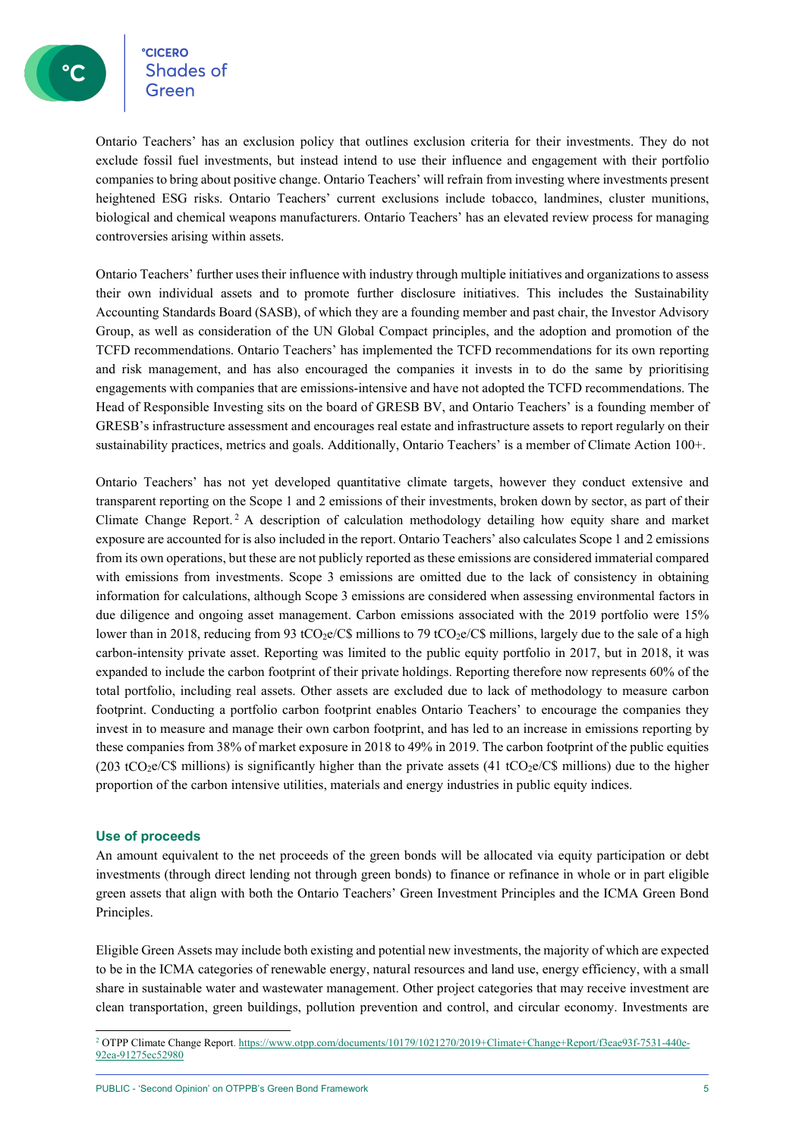**CICERO CICERO**<br>Shades of

Ontario Teachers' has an exclusion policy that outlines exclusion criteria for their investments. They do not exclude fossil fuel investments, but instead intend to use their influence and engagement with their portfolio companies to bring about positive change. Ontario Teachers' will refrain from investing where investments present heightened ESG risks. Ontario Teachers' current exclusions include tobacco, landmines, cluster munitions, biological and chemical weapons manufacturers. Ontario Teachers' has an elevated review process for managing controversies arising within assets.

Ontario Teachers' further uses their influence with industry through multiple initiatives and organizations to assess their own individual assets and to promote further disclosure initiatives. This includes the Sustainability Accounting Standards Board (SASB), of which they are a founding member and past chair, the Investor Advisory Group, as well as consideration of the UN Global Compact principles, and the adoption and promotion of the TCFD recommendations. Ontario Teachers' has implemented the TCFD recommendations for its own reporting and risk management, and has also encouraged the companies it invests in to do the same by prioritising engagements with companies that are emissions-intensive and have not adopted the TCFD recommendations. The Head of Responsible Investing sits on the board of GRESB BV, and Ontario Teachers' is a founding member of GRESB's infrastructure assessment and encourages real estate and infrastructure assets to report regularly on their sustainability practices, metrics and goals. Additionally, Ontario Teachers' is a member of Climate Action 100+.

Ontario Teachers' has not yet developed quantitative climate targets, however they conduct extensive and transparent reporting on the Scope 1 and 2 emissions of their investments, broken down by sector, as part of their Climate Change Report. [2](#page-4-0) A description of calculation methodology detailing how equity share and market exposure are accounted for is also included in the report. Ontario Teachers' also calculates Scope 1 and 2 emissions from its own operations, but these are not publicly reported as these emissions are considered immaterial compared with emissions from investments. Scope 3 emissions are omitted due to the lack of consistency in obtaining information for calculations, although Scope 3 emissions are considered when assessing environmental factors in due diligence and ongoing asset management. Carbon emissions associated with the 2019 portfolio were 15% lower than in 2018, reducing from 93 tCO<sub>2</sub>e/C\$ millions to 79 tCO<sub>2</sub>e/C\$ millions, largely due to the sale of a high carbon-intensity private asset. Reporting was limited to the public equity portfolio in 2017, but in 2018, it was expanded to include the carbon footprint of their private holdings. Reporting therefore now represents 60% of the total portfolio, including real assets. Other assets are excluded due to lack of methodology to measure carbon footprint. Conducting a portfolio carbon footprint enables Ontario Teachers' to encourage the companies they invest in to measure and manage their own carbon footprint, and has led to an increase in emissions reporting by these companies from 38% of market exposure in 2018 to 49% in 2019. The carbon footprint of the public equities (203 tCO<sub>2</sub>e/C\$ millions) is significantly higher than the private assets (41 tCO<sub>2</sub>e/C\$ millions) due to the higher proportion of the carbon intensive utilities, materials and energy industries in public equity indices.

#### **Use of proceeds**

An amount equivalent to the net proceeds of the green bonds will be allocated via equity participation or debt investments (through direct lending not through green bonds) to finance or refinance in whole or in part eligible green assets that align with both the Ontario Teachers' Green Investment Principles and the ICMA Green Bond Principles.

Eligible Green Assets may include both existing and potential new investments, the majority of which are expected to be in the ICMA categories of renewable energy, natural resources and land use, energy efficiency, with a small share in sustainable water and wastewater management. Other project categories that may receive investment are clean transportation, green buildings, pollution prevention and control, and circular economy. Investments are

<span id="page-4-0"></span><sup>&</sup>lt;sup>2</sup> OTPP Climate Change Report[. https://www.otpp.com/documents/10179/1021270/2019+Climate+Change+Report/f3eae93f-7531-440e-](https://www.otpp.com/documents/10179/1021270/2019+Climate+Change+Report/f3eae93f-7531-440e-92ea-91275ec52980)[92ea-91275ec52980](https://www.otpp.com/documents/10179/1021270/2019+Climate+Change+Report/f3eae93f-7531-440e-92ea-91275ec52980)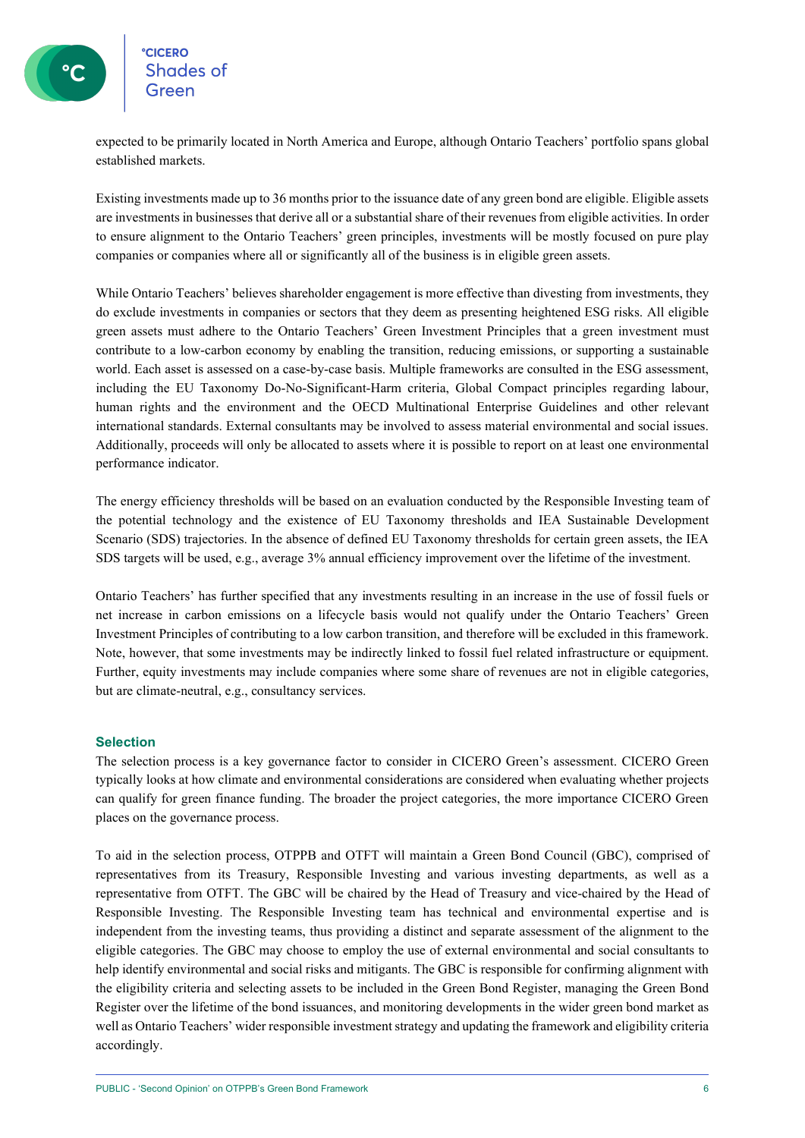### eccero<br>Shades of **CICERO**

expected to be primarily located in North America and Europe, although Ontario Teachers' portfolio spans global established markets.

Existing investments made up to 36 months prior to the issuance date of any green bond are eligible. Eligible assets are investments in businesses that derive all or a substantial share of their revenues from eligible activities. In order to ensure alignment to the Ontario Teachers' green principles, investments will be mostly focused on pure play companies or companies where all or significantly all of the business is in eligible green assets.

While Ontario Teachers' believes shareholder engagement is more effective than divesting from investments, they do exclude investments in companies or sectors that they deem as presenting heightened ESG risks. All eligible green assets must adhere to the Ontario Teachers' Green Investment Principles that a green investment must contribute to a low-carbon economy by enabling the transition, reducing emissions, or supporting a sustainable world. Each asset is assessed on a case-by-case basis. Multiple frameworks are consulted in the ESG assessment, including the EU Taxonomy Do-No-Significant-Harm criteria, Global Compact principles regarding labour, human rights and the environment and the OECD Multinational Enterprise Guidelines and other relevant international standards. External consultants may be involved to assess material environmental and social issues. Additionally, proceeds will only be allocated to assets where it is possible to report on at least one environmental performance indicator.

The energy efficiency thresholds will be based on an evaluation conducted by the Responsible Investing team of the potential technology and the existence of EU Taxonomy thresholds and IEA Sustainable Development Scenario (SDS) trajectories. In the absence of defined EU Taxonomy thresholds for certain green assets, the IEA SDS targets will be used, e.g., average 3% annual efficiency improvement over the lifetime of the investment.

Ontario Teachers' has further specified that any investments resulting in an increase in the use of fossil fuels or net increase in carbon emissions on a lifecycle basis would not qualify under the Ontario Teachers' Green Investment Principles of contributing to a low carbon transition, and therefore will be excluded in this framework. Note, however, that some investments may be indirectly linked to fossil fuel related infrastructure or equipment. Further, equity investments may include companies where some share of revenues are not in eligible categories, but are climate-neutral, e.g., consultancy services.

#### **Selection**

The selection process is a key governance factor to consider in CICERO Green's assessment. CICERO Green typically looks at how climate and environmental considerations are considered when evaluating whether projects can qualify for green finance funding. The broader the project categories, the more importance CICERO Green places on the governance process.

To aid in the selection process, OTPPB and OTFT will maintain a Green Bond Council (GBC), comprised of representatives from its Treasury, Responsible Investing and various investing departments, as well as a representative from OTFT. The GBC will be chaired by the Head of Treasury and vice-chaired by the Head of Responsible Investing. The Responsible Investing team has technical and environmental expertise and is independent from the investing teams, thus providing a distinct and separate assessment of the alignment to the eligible categories. The GBC may choose to employ the use of external environmental and social consultants to help identify environmental and social risks and mitigants. The GBC is responsible for confirming alignment with the eligibility criteria and selecting assets to be included in the Green Bond Register, managing the Green Bond Register over the lifetime of the bond issuances, and monitoring developments in the wider green bond market as well as Ontario Teachers' wider responsible investment strategy and updating the framework and eligibility criteria accordingly.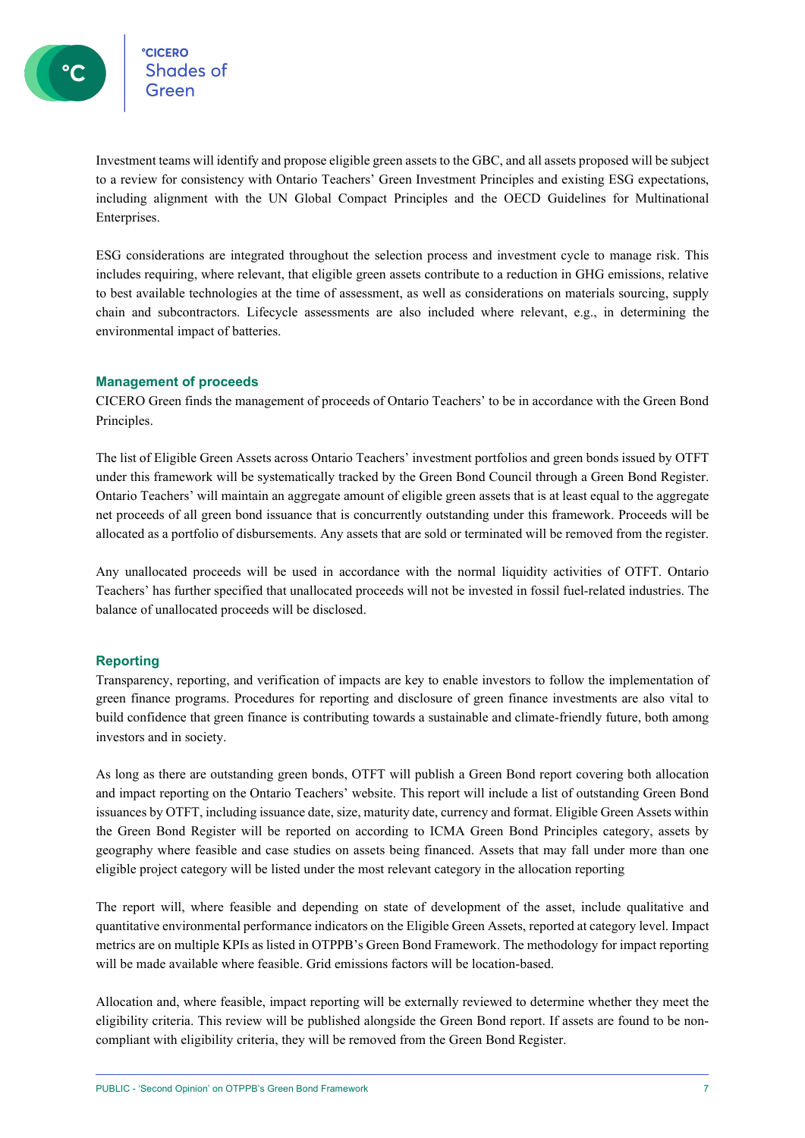°cicero<br>Shades of

Investment teams will identify and propose eligible green assets to the GBC, and all assets proposed will be subject to a review for consistency with Ontario Teachers' Green Investment Principles and existing ESG expectations, including alignment with the UN Global Compact Principles and the OECD Guidelines for Multinational Enterprises.

ESG considerations are integrated throughout the selection process and investment cycle to manage risk. This includes requiring, where relevant, that eligible green assets contribute to a reduction in GHG emissions, relative to best available technologies at the time of assessment, as well as considerations on materials sourcing, supply chain and subcontractors. Lifecycle assessments are also included where relevant, e.g., in determining the environmental impact of batteries.

#### **Management of proceeds**

CICERO Green finds the management of proceeds of Ontario Teachers' to be in accordance with the Green Bond Principles.

The list of Eligible Green Assets across Ontario Teachers' investment portfolios and green bonds issued by OTFT under this framework will be systematically tracked by the Green Bond Council through a Green Bond Register. Ontario Teachers' will maintain an aggregate amount of eligible green assets that is at least equal to the aggregate net proceeds of all green bond issuance that is concurrently outstanding under this framework. Proceeds will be allocated as a portfolio of disbursements. Any assets that are sold or terminated will be removed from the register.

Any unallocated proceeds will be used in accordance with the normal liquidity activities of OTFT. Ontario Teachers' has further specified that unallocated proceeds will not be invested in fossil fuel-related industries. The balance of unallocated proceeds will be disclosed.

#### **Reporting**

Transparency, reporting, and verification of impacts are key to enable investors to follow the implementation of green finance programs. Procedures for reporting and disclosure of green finance investments are also vital to build confidence that green finance is contributing towards a sustainable and climate-friendly future, both among investors and in society.

As long as there are outstanding green bonds, OTFT will publish a Green Bond report covering both allocation and impact reporting on the Ontario Teachers' website. This report will include a list of outstanding Green Bond issuances by OTFT, including issuance date, size, maturity date, currency and format. Eligible Green Assets within the Green Bond Register will be reported on according to ICMA Green Bond Principles category, assets by geography where feasible and case studies on assets being financed. Assets that may fall under more than one eligible project category will be listed under the most relevant category in the allocation reporting

The report will, where feasible and depending on state of development of the asset, include qualitative and quantitative environmental performance indicators on the Eligible Green Assets, reported at category level. Impact metrics are on multiple KPIs as listed in OTPPB's Green Bond Framework. The methodology for impact reporting will be made available where feasible. Grid emissions factors will be location-based.

Allocation and, where feasible, impact reporting will be externally reviewed to determine whether they meet the eligibility criteria. This review will be published alongside the Green Bond report. If assets are found to be noncompliant with eligibility criteria, they will be removed from the Green Bond Register.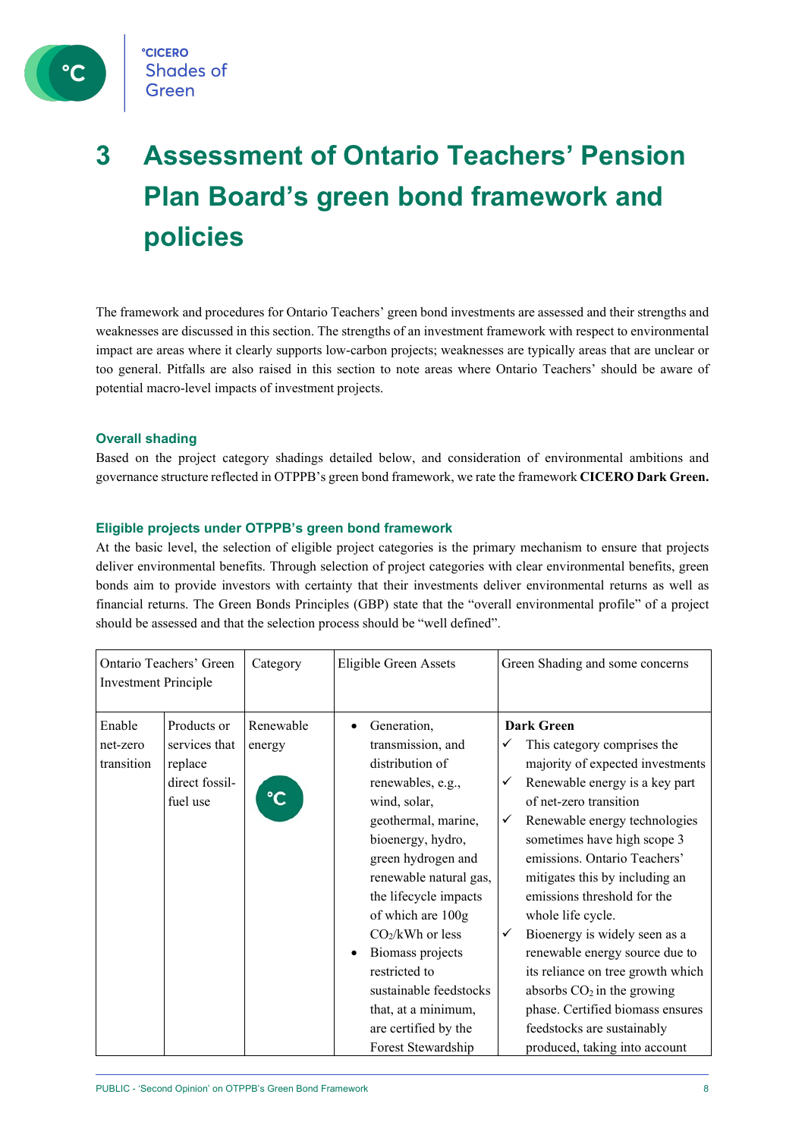

## **3 Assessment of Ontario Teachers' Pension Plan Board's green bond framework and policies**

The framework and procedures for Ontario Teachers' green bond investments are assessed and their strengths and weaknesses are discussed in this section. The strengths of an investment framework with respect to environmental impact are areas where it clearly supports low-carbon projects; weaknesses are typically areas that are unclear or too general. Pitfalls are also raised in this section to note areas where Ontario Teachers' should be aware of potential macro-level impacts of investment projects.

#### **Overall shading**

Based on the project category shadings detailed below, and consideration of environmental ambitions and governance structure reflected in OTPPB's green bond framework, we rate the framework **CICERO Dark Green.**

#### **Eligible projects under OTPPB's green bond framework**

At the basic level, the selection of eligible project categories is the primary mechanism to ensure that projects deliver environmental benefits. Through selection of project categories with clear environmental benefits, green bonds aim to provide investors with certainty that their investments deliver environmental returns as well as financial returns. The Green Bonds Principles (GBP) state that the "overall environmental profile" of a project should be assessed and that the selection process should be "well defined".

| <b>Investment Principle</b>      | Ontario Teachers' Green                                               | Category                 | Eligible Green Assets                                                                                                                                                                                                                                                                                                                                                                                                 | Green Shading and some concerns                                                                                                                                                                                                                                                                                                                                                                                                                                                                                                                                                                       |
|----------------------------------|-----------------------------------------------------------------------|--------------------------|-----------------------------------------------------------------------------------------------------------------------------------------------------------------------------------------------------------------------------------------------------------------------------------------------------------------------------------------------------------------------------------------------------------------------|-------------------------------------------------------------------------------------------------------------------------------------------------------------------------------------------------------------------------------------------------------------------------------------------------------------------------------------------------------------------------------------------------------------------------------------------------------------------------------------------------------------------------------------------------------------------------------------------------------|
| Enable<br>net-zero<br>transition | Products or<br>services that<br>replace<br>direct fossil-<br>fuel use | Renewable<br>energy<br>℃ | Generation,<br>$\bullet$<br>transmission, and<br>distribution of<br>renewables, e.g.,<br>wind, solar,<br>geothermal, marine,<br>bioenergy, hydro,<br>green hydrogen and<br>renewable natural gas,<br>the lifecycle impacts<br>of which are 100g<br>$CO2/kWh$ or less<br>Biomass projects<br>$\bullet$<br>restricted to<br>sustainable feedstocks<br>that, at a minimum,<br>are certified by the<br>Forest Stewardship | <b>Dark Green</b><br>This category comprises the<br>✓<br>majority of expected investments<br>Renewable energy is a key part<br>✓<br>of net-zero transition<br>Renewable energy technologies<br>✓<br>sometimes have high scope 3<br>emissions. Ontario Teachers'<br>mitigates this by including an<br>emissions threshold for the<br>whole life cycle.<br>Bioenergy is widely seen as a<br>✓<br>renewable energy source due to<br>its reliance on tree growth which<br>absorbs $CO2$ in the growing<br>phase. Certified biomass ensures<br>feedstocks are sustainably<br>produced, taking into account |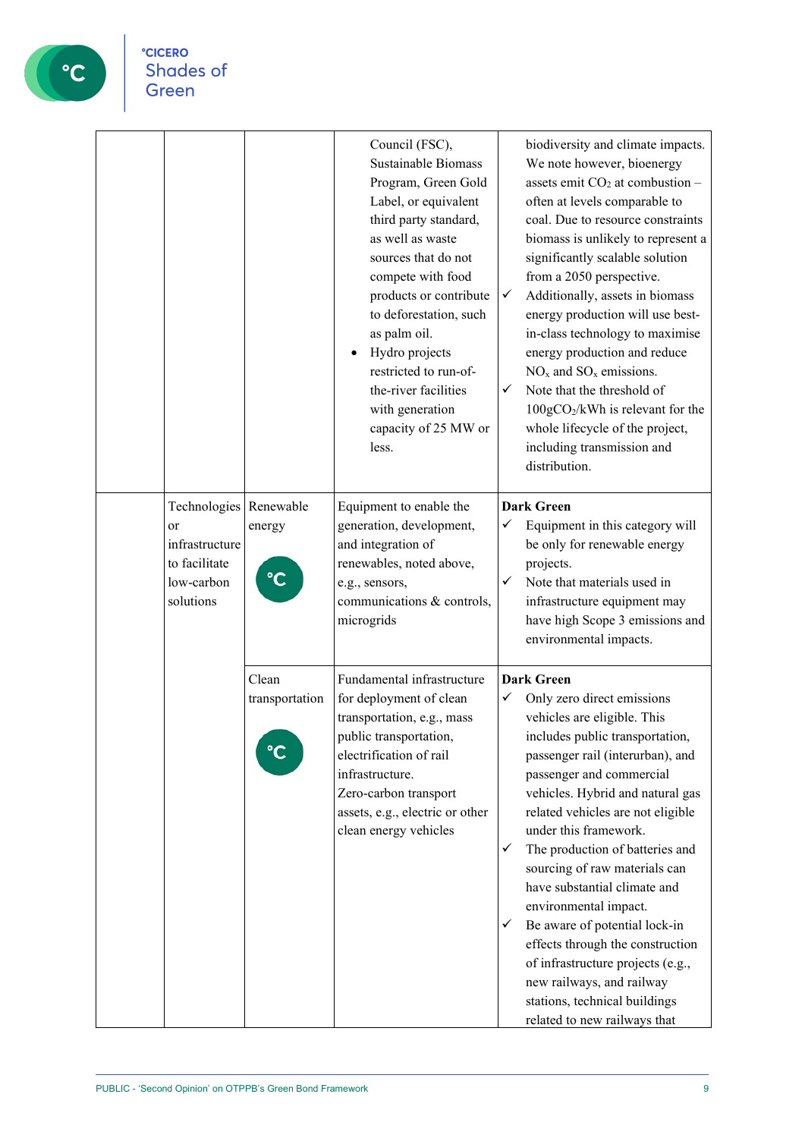

|                                                                                            |                         | Council (FSC),<br>Sustainable Biomass<br>Program, Green Gold<br>Label, or equivalent<br>third party standard,<br>as well as waste<br>sources that do not<br>compete with food<br>products or contribute<br>to deforestation, such<br>as palm oil.<br>Hydro projects<br>restricted to run-of-<br>the-river facilities<br>with generation<br>capacity of 25 MW or<br>less. | ✓<br>✓                 | biodiversity and climate impacts.<br>We note however, bioenergy<br>assets emit $CO2$ at combustion -<br>often at levels comparable to<br>coal. Due to resource constraints<br>biomass is unlikely to represent a<br>significantly scalable solution<br>from a 2050 perspective.<br>Additionally, assets in biomass<br>energy production will use best-<br>in-class technology to maximise<br>energy production and reduce<br>$NOx$ and $SOx$ emissions.<br>Note that the threshold of<br>100gCO2/kWh is relevant for the<br>whole lifecycle of the project,<br>including transmission and<br>distribution.               |
|--------------------------------------------------------------------------------------------|-------------------------|--------------------------------------------------------------------------------------------------------------------------------------------------------------------------------------------------------------------------------------------------------------------------------------------------------------------------------------------------------------------------|------------------------|--------------------------------------------------------------------------------------------------------------------------------------------------------------------------------------------------------------------------------------------------------------------------------------------------------------------------------------------------------------------------------------------------------------------------------------------------------------------------------------------------------------------------------------------------------------------------------------------------------------------------|
| Technologies Renewable<br>or<br>infrastructure<br>to facilitate<br>low-carbon<br>solutions | energy<br>°C            | Equipment to enable the<br>generation, development,<br>and integration of<br>renewables, noted above,<br>e.g., sensors,<br>communications & controls,<br>microgrids                                                                                                                                                                                                      | ✓<br>✓                 | <b>Dark Green</b><br>Equipment in this category will<br>be only for renewable energy<br>projects.<br>Note that materials used in<br>infrastructure equipment may<br>have high Scope 3 emissions and<br>environmental impacts.                                                                                                                                                                                                                                                                                                                                                                                            |
|                                                                                            | Clean<br>transportation | Fundamental infrastructure<br>for deployment of clean<br>transportation, e.g., mass<br>public transportation,<br>electrification of rail<br>infrastructure.<br>Zero-carbon transport<br>assets, e.g., electric or other<br>clean energy vehicles                                                                                                                         | ✓<br>$\checkmark$<br>✓ | <b>Dark Green</b><br>Only zero direct emissions<br>vehicles are eligible. This<br>includes public transportation,<br>passenger rail (interurban), and<br>passenger and commercial<br>vehicles. Hybrid and natural gas<br>related vehicles are not eligible<br>under this framework.<br>The production of batteries and<br>sourcing of raw materials can<br>have substantial climate and<br>environmental impact.<br>Be aware of potential lock-in<br>effects through the construction<br>of infrastructure projects (e.g.,<br>new railways, and railway<br>stations, technical buildings<br>related to new railways that |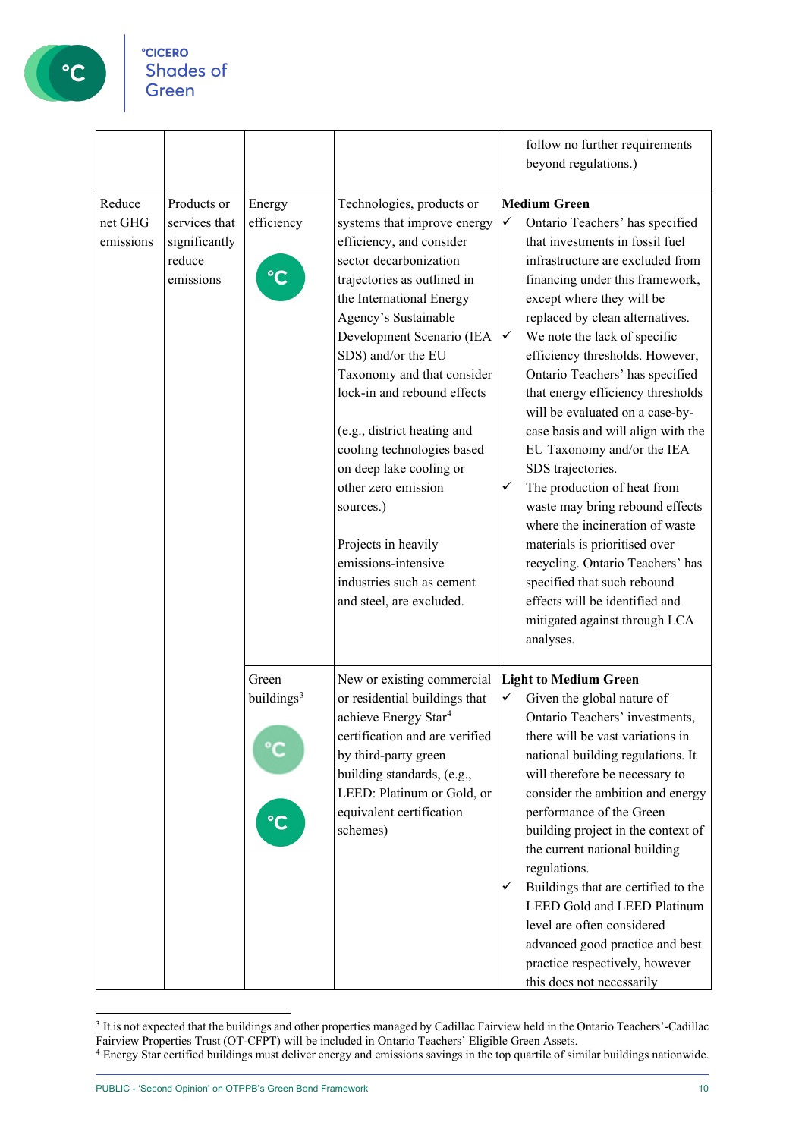

|                                |                                                                      |                                                 |                                                                                                                                                                                                                                                                                                                                                                                                                                                                                                                                                      |                        | follow no further requirements<br>beyond regulations.)                                                                                                                                                                                                                                                                                                                                                                                                                                                                                                                                                                                                                                                                                                                                           |
|--------------------------------|----------------------------------------------------------------------|-------------------------------------------------|------------------------------------------------------------------------------------------------------------------------------------------------------------------------------------------------------------------------------------------------------------------------------------------------------------------------------------------------------------------------------------------------------------------------------------------------------------------------------------------------------------------------------------------------------|------------------------|--------------------------------------------------------------------------------------------------------------------------------------------------------------------------------------------------------------------------------------------------------------------------------------------------------------------------------------------------------------------------------------------------------------------------------------------------------------------------------------------------------------------------------------------------------------------------------------------------------------------------------------------------------------------------------------------------------------------------------------------------------------------------------------------------|
| Reduce<br>net GHG<br>emissions | Products or<br>services that<br>significantly<br>reduce<br>emissions | Energy<br>efficiency                            | Technologies, products or<br>systems that improve energy<br>efficiency, and consider<br>sector decarbonization<br>trajectories as outlined in<br>the International Energy<br>Agency's Sustainable<br>Development Scenario (IEA<br>SDS) and/or the EU<br>Taxonomy and that consider<br>lock-in and rebound effects<br>(e.g., district heating and<br>cooling technologies based<br>on deep lake cooling or<br>other zero emission<br>sources.)<br>Projects in heavily<br>emissions-intensive<br>industries such as cement<br>and steel, are excluded. | ✓<br>$\checkmark$<br>✓ | <b>Medium Green</b><br>Ontario Teachers' has specified<br>that investments in fossil fuel<br>infrastructure are excluded from<br>financing under this framework,<br>except where they will be<br>replaced by clean alternatives.<br>We note the lack of specific<br>efficiency thresholds. However,<br>Ontario Teachers' has specified<br>that energy efficiency thresholds<br>will be evaluated on a case-by-<br>case basis and will align with the<br>EU Taxonomy and/or the IEA<br>SDS trajectories.<br>The production of heat from<br>waste may bring rebound effects<br>where the incineration of waste<br>materials is prioritised over<br>recycling. Ontario Teachers' has<br>specified that such rebound<br>effects will be identified and<br>mitigated against through LCA<br>analyses. |
|                                |                                                                      | Green<br>buildings <sup>3</sup><br>$\mathbf{C}$ | New or existing commercial<br>or residential buildings that<br>achieve Energy Star <sup>4</sup><br>certification and are verified<br>by third-party green<br>building standards, (e.g.,<br>LEED: Platinum or Gold, or<br>equivalent certification<br>schemes)                                                                                                                                                                                                                                                                                        | ✓<br>✓                 | <b>Light to Medium Green</b><br>Given the global nature of<br>Ontario Teachers' investments,<br>there will be vast variations in<br>national building regulations. It<br>will therefore be necessary to<br>consider the ambition and energy<br>performance of the Green<br>building project in the context of<br>the current national building<br>regulations.<br>Buildings that are certified to the<br><b>LEED Gold and LEED Platinum</b><br>level are often considered<br>advanced good practice and best<br>practice respectively, however<br>this does not necessarily                                                                                                                                                                                                                      |

<span id="page-9-0"></span><sup>&</sup>lt;sup>3</sup> It is not expected that the buildings and other properties managed by Cadillac Fairview held in the Ontario Teachers'-Cadillac Fairview Properties Trust (OT-CFPT) will be included in Ontario Teachers' Eligible Green Assets.

<span id="page-9-1"></span><sup>4</sup> Energy Star certified buildings must deliver energy and emissions savings in the top quartile of similar buildings nationwide.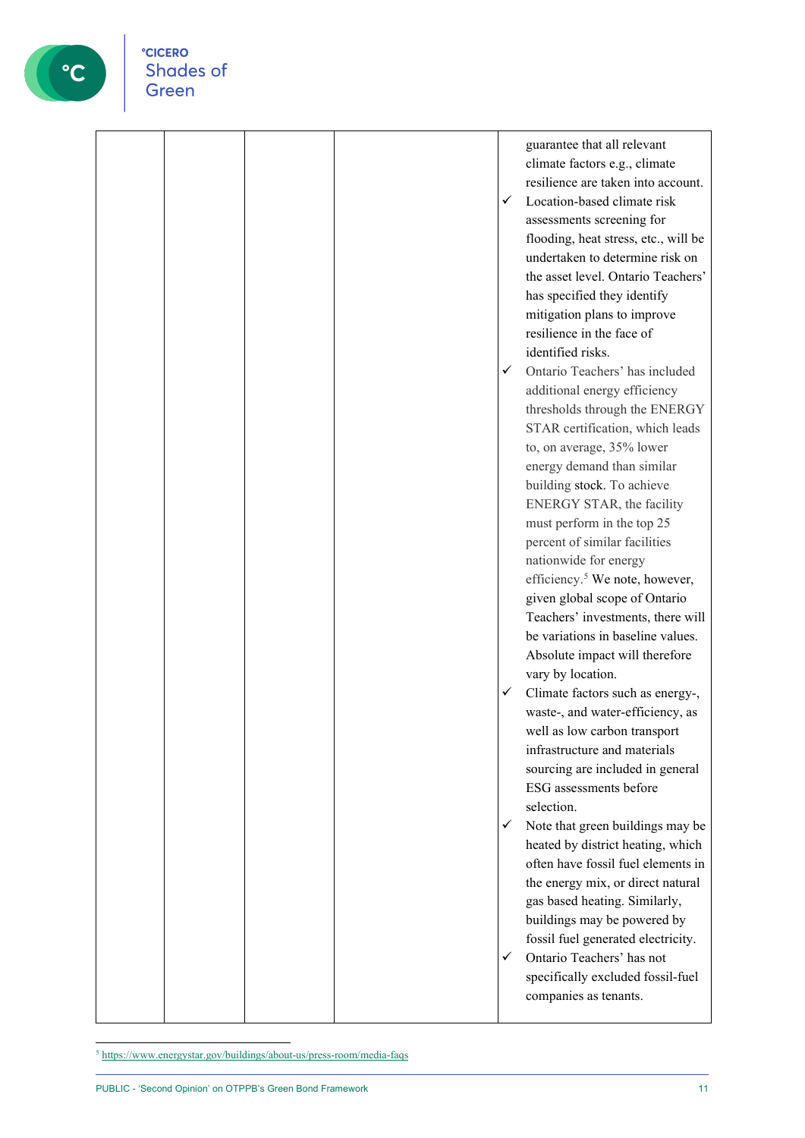

|  |  |   | guarantee that all relevant                |
|--|--|---|--------------------------------------------|
|  |  |   | climate factors e.g., climate              |
|  |  |   | resilience are taken into account.         |
|  |  | ✓ | Location-based climate risk                |
|  |  |   | assessments screening for                  |
|  |  |   | flooding, heat stress, etc., will be       |
|  |  |   | undertaken to determine risk on            |
|  |  |   | the asset level. Ontario Teachers'         |
|  |  |   | has specified they identify                |
|  |  |   | mitigation plans to improve                |
|  |  |   | resilience in the face of                  |
|  |  |   | identified risks.                          |
|  |  | ✓ | Ontario Teachers' has included             |
|  |  |   | additional energy efficiency               |
|  |  |   | thresholds through the ENERGY              |
|  |  |   | STAR certification, which leads            |
|  |  |   | to, on average, 35% lower                  |
|  |  |   | energy demand than similar                 |
|  |  |   | building stock. To achieve                 |
|  |  |   | ENERGY STAR, the facility                  |
|  |  |   | must perform in the top 25                 |
|  |  |   | percent of similar facilities              |
|  |  |   | nationwide for energy                      |
|  |  |   | efficiency. <sup>5</sup> We note, however, |
|  |  |   | given global scope of Ontario              |
|  |  |   | Teachers' investments, there will          |
|  |  |   | be variations in baseline values.          |
|  |  |   | Absolute impact will therefore             |
|  |  |   | vary by location.                          |
|  |  | ✓ | Climate factors such as energy-,           |
|  |  |   | waste-, and water-efficiency, as           |
|  |  |   | well as low carbon transport               |
|  |  |   | infrastructure and materials               |
|  |  |   | sourcing are included in general           |
|  |  |   | ESG assessments before                     |
|  |  |   | selection.                                 |
|  |  | ✓ | Note that green buildings may be           |
|  |  |   | heated by district heating, which          |
|  |  |   | often have fossil fuel elements in         |
|  |  |   | the energy mix, or direct natural          |
|  |  |   | gas based heating. Similarly,              |
|  |  |   | buildings may be powered by                |
|  |  |   | fossil fuel generated electricity.         |
|  |  | ✓ | Ontario Teachers' has not                  |
|  |  |   | specifically excluded fossil-fuel          |
|  |  |   | companies as tenants.                      |
|  |  |   |                                            |

<span id="page-10-0"></span><sup>5</sup> <https://www.energystar.gov/buildings/about-us/press-room/media-faqs>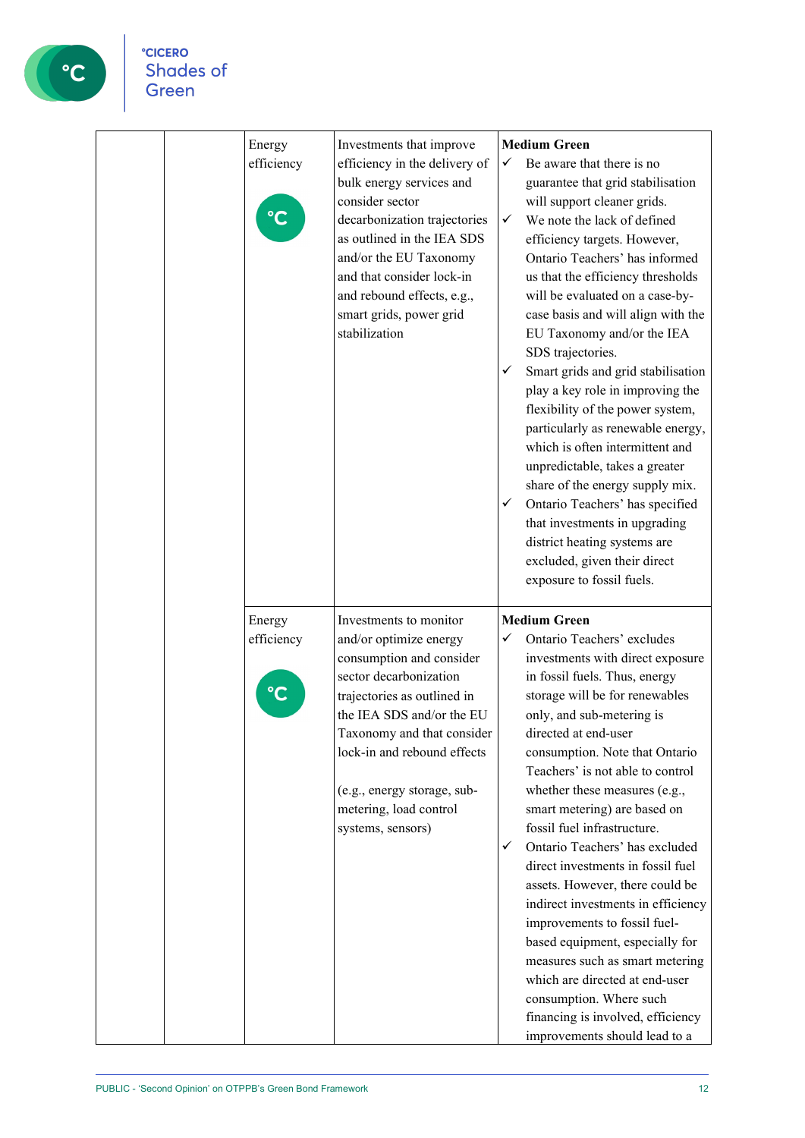| Energy<br>efficiency | Investments that improve<br>efficiency in the delivery of<br>bulk energy services and<br>consider sector<br>decarbonization trajectories<br>as outlined in the IEA SDS<br>and/or the EU Taxonomy<br>and that consider lock-in<br>and rebound effects, e.g.,<br>smart grids, power grid<br>stabilization       | <b>Medium Green</b><br>Be aware that there is no<br>✓<br>guarantee that grid stabilisation<br>will support cleaner grids.<br>We note the lack of defined<br>✓<br>efficiency targets. However,<br>Ontario Teachers' has informed<br>us that the efficiency thresholds<br>will be evaluated on a case-by-<br>case basis and will align with the<br>EU Taxonomy and/or the IEA<br>SDS trajectories.<br>Smart grids and grid stabilisation<br>$\checkmark$<br>play a key role in improving the<br>flexibility of the power system,<br>particularly as renewable energy,<br>which is often intermittent and<br>unpredictable, takes a greater<br>share of the energy supply mix.<br>Ontario Teachers' has specified<br>$\checkmark$<br>that investments in upgrading<br>district heating systems are<br>excluded, given their direct<br>exposure to fossil fuels. |
|----------------------|---------------------------------------------------------------------------------------------------------------------------------------------------------------------------------------------------------------------------------------------------------------------------------------------------------------|--------------------------------------------------------------------------------------------------------------------------------------------------------------------------------------------------------------------------------------------------------------------------------------------------------------------------------------------------------------------------------------------------------------------------------------------------------------------------------------------------------------------------------------------------------------------------------------------------------------------------------------------------------------------------------------------------------------------------------------------------------------------------------------------------------------------------------------------------------------|
| Energy<br>efficiency | Investments to monitor<br>and/or optimize energy<br>consumption and consider<br>sector decarbonization<br>trajectories as outlined in<br>the IEA SDS and/or the EU<br>Taxonomy and that consider<br>lock-in and rebound effects<br>(e.g., energy storage, sub-<br>metering, load control<br>systems, sensors) | <b>Medium Green</b><br>Ontario Teachers' excludes<br>✓<br>investments with direct exposure<br>in fossil fuels. Thus, energy<br>storage will be for renewables<br>only, and sub-metering is<br>directed at end-user<br>consumption. Note that Ontario<br>Teachers' is not able to control<br>whether these measures (e.g.,<br>smart metering) are based on<br>fossil fuel infrastructure.<br>Ontario Teachers' has excluded<br>$\checkmark$<br>direct investments in fossil fuel<br>assets. However, there could be<br>indirect investments in efficiency<br>improvements to fossil fuel-<br>based equipment, especially for<br>measures such as smart metering<br>which are directed at end-user<br>consumption. Where such<br>financing is involved, efficiency<br>improvements should lead to a                                                            |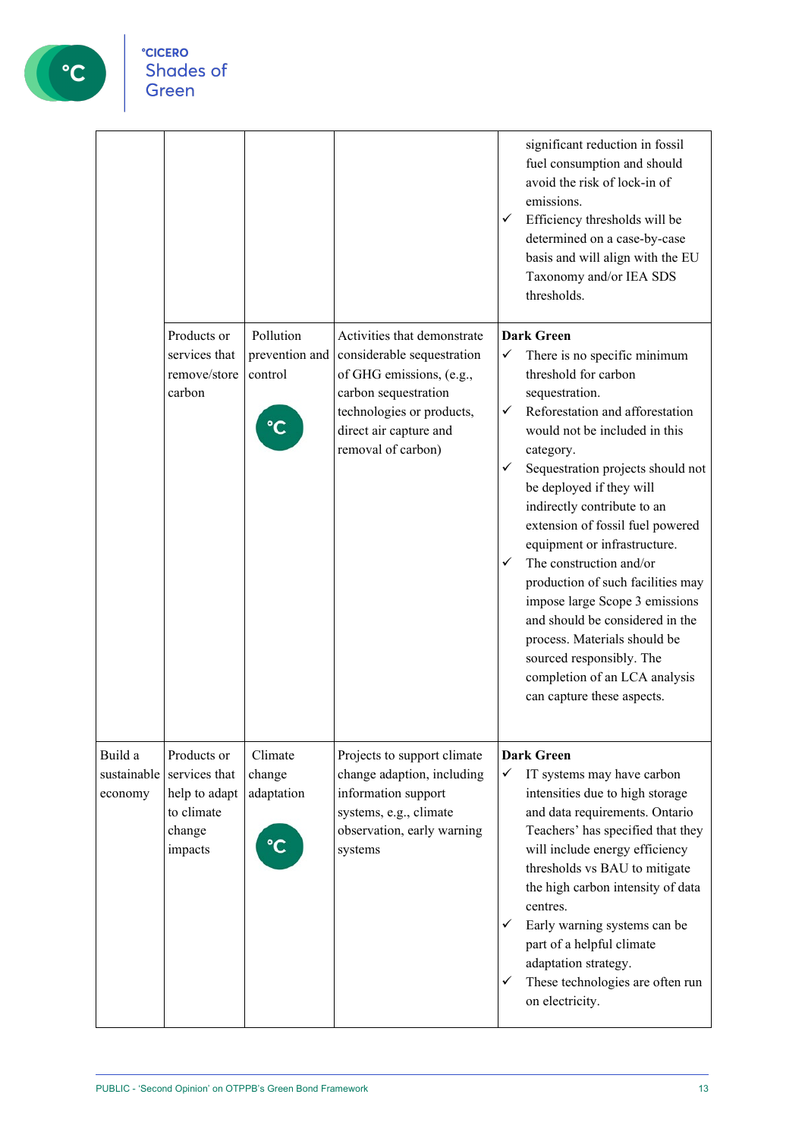

|                                   |                                                                                  |                                        |                                                                                                                                                                                            | significant reduction in fossil<br>fuel consumption and should<br>avoid the risk of lock-in of<br>emissions.<br>$\checkmark$<br>Efficiency thresholds will be<br>determined on a case-by-case<br>basis and will align with the EU<br>Taxonomy and/or IEA SDS<br>thresholds.                                                                                                                                                                                                                                                                                                                                                                     |
|-----------------------------------|----------------------------------------------------------------------------------|----------------------------------------|--------------------------------------------------------------------------------------------------------------------------------------------------------------------------------------------|-------------------------------------------------------------------------------------------------------------------------------------------------------------------------------------------------------------------------------------------------------------------------------------------------------------------------------------------------------------------------------------------------------------------------------------------------------------------------------------------------------------------------------------------------------------------------------------------------------------------------------------------------|
|                                   | Products or<br>services that<br>remove/store<br>carbon                           | Pollution<br>prevention and<br>control | Activities that demonstrate<br>considerable sequestration<br>of GHG emissions, (e.g.,<br>carbon sequestration<br>technologies or products,<br>direct air capture and<br>removal of carbon) | <b>Dark Green</b><br>There is no specific minimum<br>✓<br>threshold for carbon<br>sequestration.<br>Reforestation and afforestation<br>✓<br>would not be included in this<br>category.<br>Sequestration projects should not<br>$\checkmark$<br>be deployed if they will<br>indirectly contribute to an<br>extension of fossil fuel powered<br>equipment or infrastructure.<br>The construction and/or<br>✓<br>production of such facilities may<br>impose large Scope 3 emissions<br>and should be considered in the<br>process. Materials should be<br>sourced responsibly. The<br>completion of an LCA analysis<br>can capture these aspects. |
| Build a<br>sustainable<br>economy | Products or<br>services that<br>help to adapt<br>to climate<br>change<br>impacts | Climate<br>change<br>adaptation        | Projects to support climate<br>change adaption, including<br>information support<br>systems, e.g., climate<br>observation, early warning<br>systems                                        | <b>Dark Green</b><br>IT systems may have carbon<br>✓<br>intensities due to high storage<br>and data requirements. Ontario<br>Teachers' has specified that they<br>will include energy efficiency<br>thresholds vs BAU to mitigate<br>the high carbon intensity of data<br>centres.<br>Early warning systems can be<br>✓<br>part of a helpful climate<br>adaptation strategy.<br>These technologies are often run<br>✓<br>on electricity.                                                                                                                                                                                                        |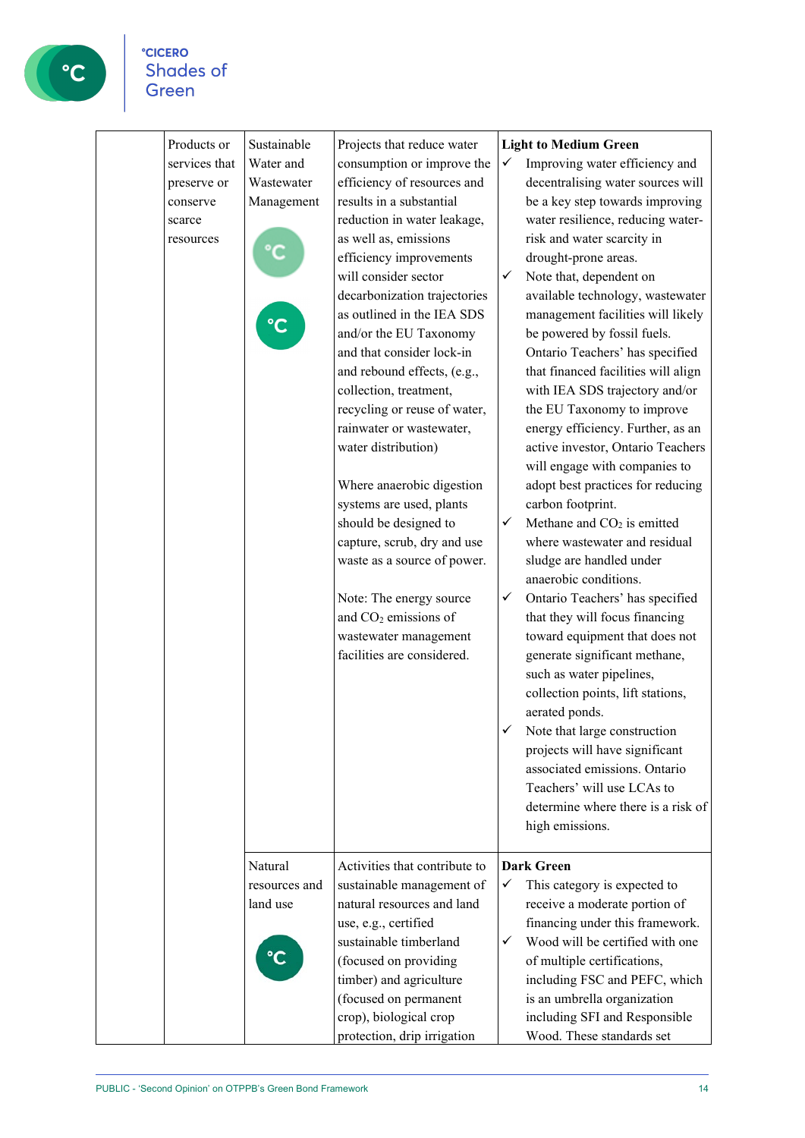

| Products or<br>services that<br>preserve or<br>conserve<br>scarce<br>resources | Sustainable<br>Water and<br>Wastewater<br>Management | Projects that reduce water<br>consumption or improve the<br>efficiency of resources and<br>results in a substantial<br>reduction in water leakage,<br>as well as, emissions<br>efficiency improvements<br>will consider sector<br>decarbonization trajectories<br>as outlined in the IEA SDS<br>and/or the EU Taxonomy<br>and that consider lock-in<br>and rebound effects, (e.g.,<br>collection, treatment,<br>recycling or reuse of water,<br>rainwater or wastewater,<br>water distribution)<br>Where anaerobic digestion<br>systems are used, plants<br>should be designed to<br>capture, scrub, dry and use<br>waste as a source of power.<br>Note: The energy source<br>and CO <sub>2</sub> emissions of<br>wastewater management<br>facilities are considered. | <b>Light to Medium Green</b><br>Improving water efficiency and<br>✓<br>decentralising water sources will<br>be a key step towards improving<br>water resilience, reducing water-<br>risk and water scarcity in<br>drought-prone areas.<br>Note that, dependent on<br>✓<br>available technology, wastewater<br>management facilities will likely<br>be powered by fossil fuels.<br>Ontario Teachers' has specified<br>that financed facilities will align<br>with IEA SDS trajectory and/or<br>the EU Taxonomy to improve<br>energy efficiency. Further, as an<br>active investor, Ontario Teachers<br>will engage with companies to<br>adopt best practices for reducing<br>carbon footprint.<br>Methane and CO <sub>2</sub> is emitted<br>✓<br>where wastewater and residual<br>sludge are handled under<br>anaerobic conditions.<br>✓<br>Ontario Teachers' has specified<br>that they will focus financing<br>toward equipment that does not<br>generate significant methane,<br>such as water pipelines,<br>collection points, lift stations,<br>aerated ponds.<br>Note that large construction<br>projects will have significant<br>associated emissions. Ontario<br>Teachers' will use LCAs to<br>determine where there is a risk of<br>high emissions. |
|--------------------------------------------------------------------------------|------------------------------------------------------|-----------------------------------------------------------------------------------------------------------------------------------------------------------------------------------------------------------------------------------------------------------------------------------------------------------------------------------------------------------------------------------------------------------------------------------------------------------------------------------------------------------------------------------------------------------------------------------------------------------------------------------------------------------------------------------------------------------------------------------------------------------------------|--------------------------------------------------------------------------------------------------------------------------------------------------------------------------------------------------------------------------------------------------------------------------------------------------------------------------------------------------------------------------------------------------------------------------------------------------------------------------------------------------------------------------------------------------------------------------------------------------------------------------------------------------------------------------------------------------------------------------------------------------------------------------------------------------------------------------------------------------------------------------------------------------------------------------------------------------------------------------------------------------------------------------------------------------------------------------------------------------------------------------------------------------------------------------------------------------------------------------------------------------------------|
|                                                                                | Natural<br>resources and<br>land use                 | Activities that contribute to<br>sustainable management of<br>natural resources and land<br>use, e.g., certified<br>sustainable timberland<br>(focused on providing<br>timber) and agriculture<br>(focused on permanent<br>crop), biological crop<br>protection, drip irrigation                                                                                                                                                                                                                                                                                                                                                                                                                                                                                      | <b>Dark Green</b><br>This category is expected to<br>✓<br>receive a moderate portion of<br>financing under this framework.<br>Wood will be certified with one<br>✓<br>of multiple certifications,<br>including FSC and PEFC, which<br>is an umbrella organization<br>including SFI and Responsible<br>Wood. These standards set                                                                                                                                                                                                                                                                                                                                                                                                                                                                                                                                                                                                                                                                                                                                                                                                                                                                                                                              |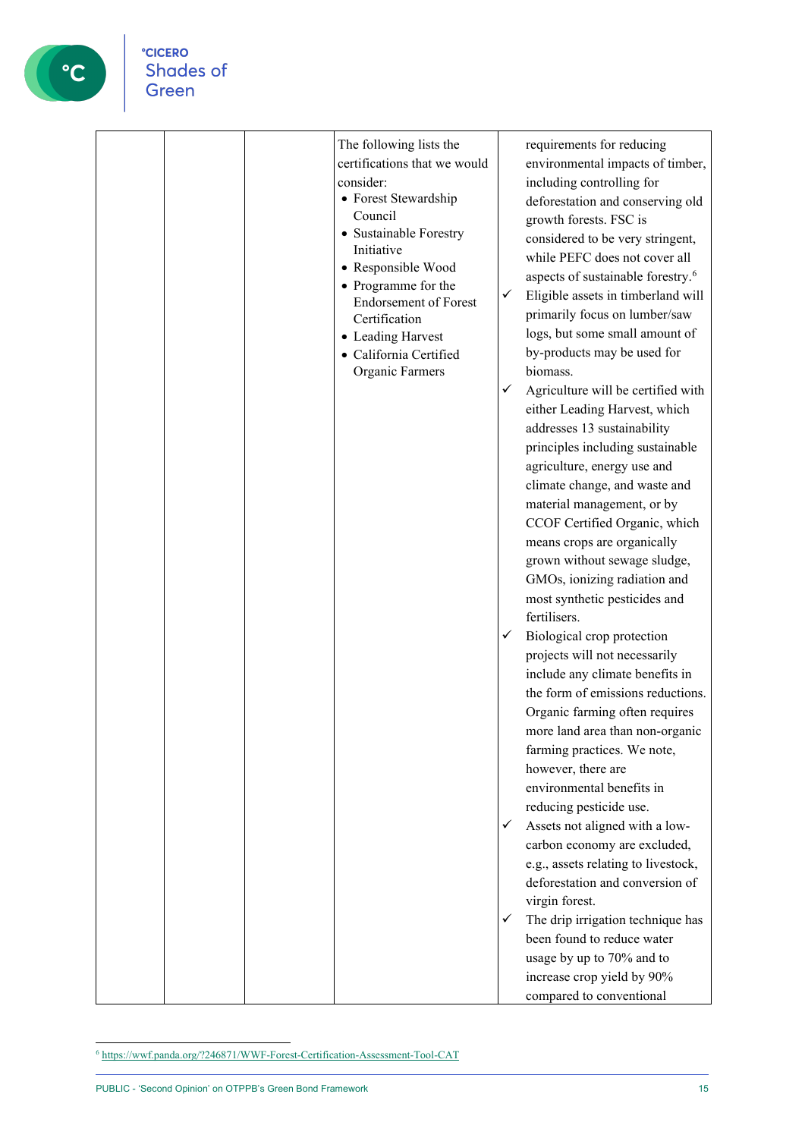

| The following lists the<br>certifications that we would<br>consider:<br>• Forest Stewardship<br>Council<br>• Sustainable Forestry<br>Initiative<br>• Responsible Wood<br>• Programme for the<br><b>Endorsement of Forest</b><br>Certification<br>• Leading Harvest<br>· California Certified<br>Organic Farmers | requirements for reducing<br>environmental impacts of timber,<br>including controlling for<br>deforestation and conserving old<br>growth forests. FSC is<br>considered to be very stringent,<br>while PEFC does not cover all<br>aspects of sustainable forestry. <sup>6</sup><br>✓<br>Eligible assets in timberland will<br>primarily focus on lumber/saw<br>logs, but some small amount of<br>by-products may be used for<br>biomass.<br>Agriculture will be certified with<br>✓<br>either Leading Harvest, which<br>addresses 13 sustainability<br>principles including sustainable<br>agriculture, energy use and<br>climate change, and waste and<br>material management, or by<br>CCOF Certified Organic, which<br>means crops are organically<br>grown without sewage sludge,<br>GMOs, ionizing radiation and<br>most synthetic pesticides and<br>fertilisers.<br>Biological crop protection<br>✓<br>projects will not necessarily<br>include any climate benefits in<br>the form of emissions reductions.<br>Organic farming often requires<br>more land area than non-organic<br>farming practices. We note,<br>however, there are<br>environmental benefits in<br>reducing pesticide use.<br>Assets not aligned with a low-<br>✓<br>carbon economy are excluded,<br>e.g., assets relating to livestock,<br>deforestation and conversion of<br>virgin forest.<br>The drip irrigation technique has<br>✓<br>been found to reduce water<br>usage by up to 70% and to<br>increase crop yield by 90%<br>compared to conventional |
|-----------------------------------------------------------------------------------------------------------------------------------------------------------------------------------------------------------------------------------------------------------------------------------------------------------------|---------------------------------------------------------------------------------------------------------------------------------------------------------------------------------------------------------------------------------------------------------------------------------------------------------------------------------------------------------------------------------------------------------------------------------------------------------------------------------------------------------------------------------------------------------------------------------------------------------------------------------------------------------------------------------------------------------------------------------------------------------------------------------------------------------------------------------------------------------------------------------------------------------------------------------------------------------------------------------------------------------------------------------------------------------------------------------------------------------------------------------------------------------------------------------------------------------------------------------------------------------------------------------------------------------------------------------------------------------------------------------------------------------------------------------------------------------------------------------------------------------------------------------------|

<span id="page-14-0"></span> $^6$  <https://wwf.panda.org/?246871/WWF-Forest-Certification-Assessment-Tool-CAT>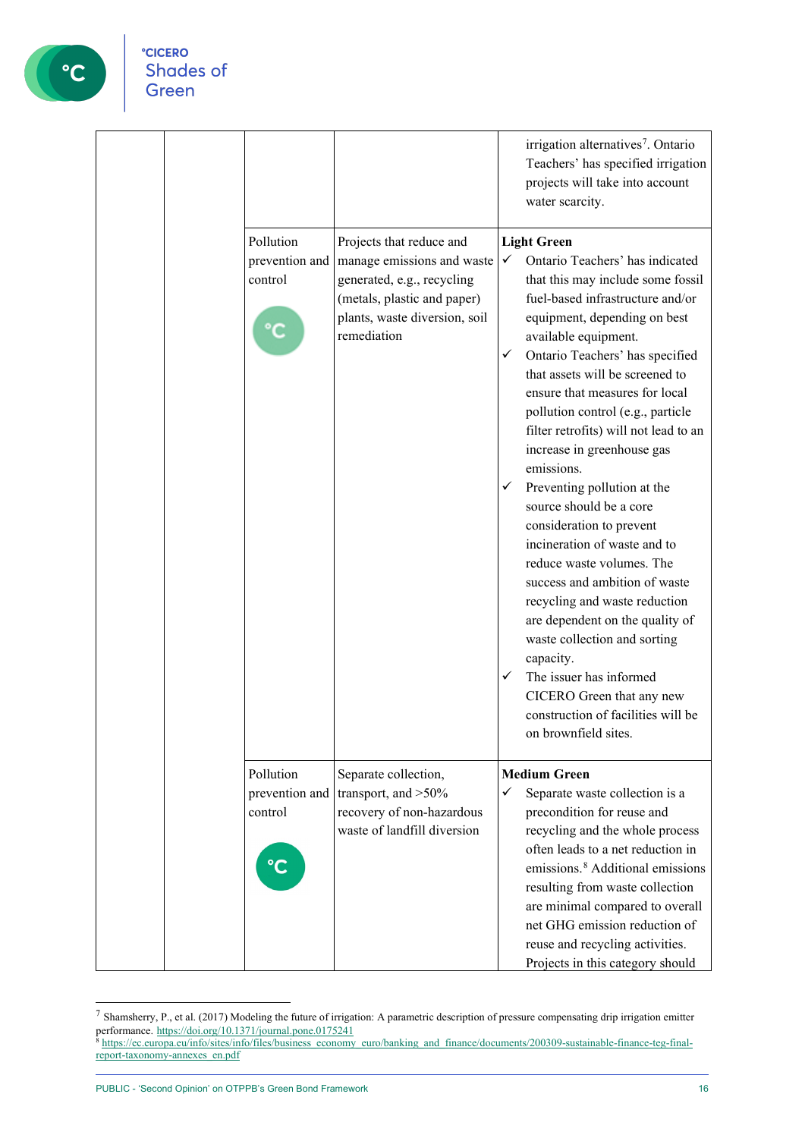

|                                        |                                                                                                                                                                                      | irrigation alternatives <sup>7</sup> . Ontario<br>Teachers' has specified irrigation<br>projects will take into account<br>water scarcity.                                                                                                                                                                                                                                                                                                                                                                                                                                                                                                                                                                                                                                                                                                                                                    |
|----------------------------------------|--------------------------------------------------------------------------------------------------------------------------------------------------------------------------------------|-----------------------------------------------------------------------------------------------------------------------------------------------------------------------------------------------------------------------------------------------------------------------------------------------------------------------------------------------------------------------------------------------------------------------------------------------------------------------------------------------------------------------------------------------------------------------------------------------------------------------------------------------------------------------------------------------------------------------------------------------------------------------------------------------------------------------------------------------------------------------------------------------|
| Pollution<br>control                   | Projects that reduce and<br>prevention and   manage emissions and waste<br>generated, e.g., recycling<br>(metals, plastic and paper)<br>plants, waste diversion, soil<br>remediation | <b>Light Green</b><br>Ontario Teachers' has indicated<br>$\checkmark$<br>that this may include some fossil<br>fuel-based infrastructure and/or<br>equipment, depending on best<br>available equipment.<br>Ontario Teachers' has specified<br>✓<br>that assets will be screened to<br>ensure that measures for local<br>pollution control (e.g., particle<br>filter retrofits) will not lead to an<br>increase in greenhouse gas<br>emissions.<br>Preventing pollution at the<br>$\checkmark$<br>source should be a core<br>consideration to prevent<br>incineration of waste and to<br>reduce waste volumes. The<br>success and ambition of waste<br>recycling and waste reduction<br>are dependent on the quality of<br>waste collection and sorting<br>capacity.<br>The issuer has informed<br>✓<br>CICERO Green that any new<br>construction of facilities will be<br>on brownfield sites. |
| Pollution<br>prevention and<br>control | Separate collection,<br>transport, and >50%<br>recovery of non-hazardous<br>waste of landfill diversion                                                                              | <b>Medium Green</b><br>Separate waste collection is a<br>✓<br>precondition for reuse and<br>recycling and the whole process<br>often leads to a net reduction in<br>emissions. <sup>8</sup> Additional emissions<br>resulting from waste collection<br>are minimal compared to overall<br>net GHG emission reduction of<br>reuse and recycling activities.<br>Projects in this category should                                                                                                                                                                                                                                                                                                                                                                                                                                                                                                |

<span id="page-15-0"></span><sup>7</sup> Shamsherry, P., et al. (2017) Modeling the future of irrigation: A parametric description of pressure compensating drip irrigation emitter performance. <https://doi.org/10.1371/journal.pone.0175241>

<span id="page-15-1"></span><sup>8</sup> [https://ec.europa.eu/info/sites/info/files/business\\_economy\\_euro/banking\\_and\\_finance/documents/200309-sustainable-finance-teg-final](https://ec.europa.eu/info/sites/info/files/business_economy_euro/banking_and_finance/documents/200309-sustainable-finance-teg-final-report-taxonomy-annexes_en.pdf)[report-taxonomy-annexes\\_en.pdf](https://ec.europa.eu/info/sites/info/files/business_economy_euro/banking_and_finance/documents/200309-sustainable-finance-teg-final-report-taxonomy-annexes_en.pdf)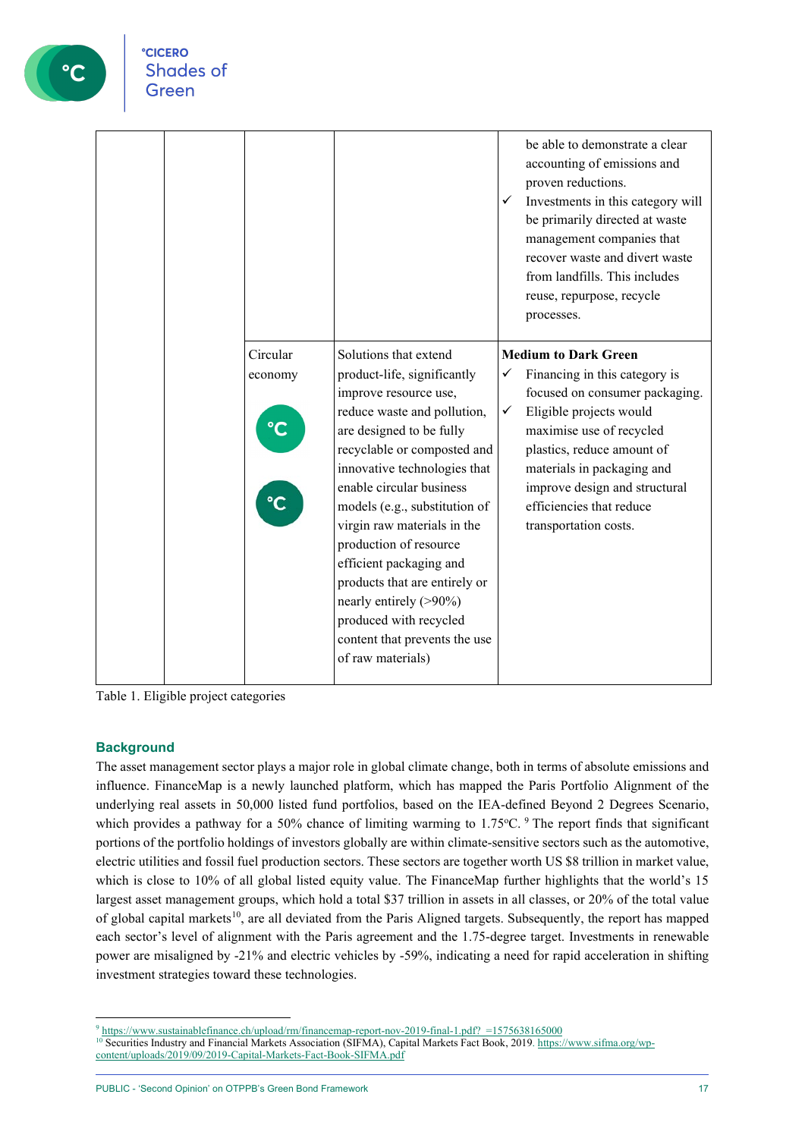

|                                      |                                                                                                                                                                                                                                                                                                                                                                                                                                                                                                     | ✓                 | be able to demonstrate a clear<br>accounting of emissions and<br>proven reductions.<br>Investments in this category will<br>be primarily directed at waste<br>management companies that<br>recover waste and divert waste<br>from landfills. This includes<br>reuse, repurpose, recycle<br>processes.   |
|--------------------------------------|-----------------------------------------------------------------------------------------------------------------------------------------------------------------------------------------------------------------------------------------------------------------------------------------------------------------------------------------------------------------------------------------------------------------------------------------------------------------------------------------------------|-------------------|---------------------------------------------------------------------------------------------------------------------------------------------------------------------------------------------------------------------------------------------------------------------------------------------------------|
| Circular<br>economy<br>$\textdegree$ | Solutions that extend<br>product-life, significantly<br>improve resource use,<br>reduce waste and pollution,<br>are designed to be fully<br>recyclable or composted and<br>innovative technologies that<br>enable circular business<br>models (e.g., substitution of<br>virgin raw materials in the<br>production of resource<br>efficient packaging and<br>products that are entirely or<br>nearly entirely (>90%)<br>produced with recycled<br>content that prevents the use<br>of raw materials) | ✓<br>$\checkmark$ | <b>Medium to Dark Green</b><br>Financing in this category is<br>focused on consumer packaging.<br>Eligible projects would<br>maximise use of recycled<br>plastics, reduce amount of<br>materials in packaging and<br>improve design and structural<br>efficiencies that reduce<br>transportation costs. |

Table 1. Eligible project categories

#### **Background**

The asset management sector plays a major role in global climate change, both in terms of absolute emissions and influence. FinanceMap is a newly launched platform, which has mapped the Paris Portfolio Alignment of the underlying real assets in 50,000 listed fund portfolios, based on the IEA-defined Beyond 2 Degrees Scenario, which provides a pathway for a 50% chance of limiting warming to 1.75°C. <sup>[9](#page-16-0)</sup> The report finds that significant portions of the portfolio holdings of investors globally are within climate-sensitive sectors such as the automotive, electric utilities and fossil fuel production sectors. These sectors are together worth US \$8 trillion in market value, which is close to 10% of all global listed equity value. The FinanceMap further highlights that the world's 15 largest asset management groups, which hold a total \$37 trillion in assets in all classes, or 20% of the total value of global capital markets<sup>[10](#page-16-1)</sup>, are all deviated from the Paris Aligned targets. Subsequently, the report has mapped each sector's level of alignment with the Paris agreement and the 1.75-degree target. Investments in renewable power are misaligned by -21% and electric vehicles by -59%, indicating a need for rapid acceleration in shifting investment strategies toward these technologies.

<span id="page-16-0"></span> $9$  https://www.sustainablefinance.ch/upload/rm/financemap-report-nov-2019-final-1.pdf? =1575638165000

<span id="page-16-1"></span><sup>&</sup>lt;sup>10</sup> Securities Industry and Financial Markets Association (SIFMA), Capital Markets Fact Book, 2019[. https://www.sifma.org/wp](https://www.sifma.org/wp-content/uploads/2019/09/2019-Capital-Markets-Fact-Book-SIFMA.pdf)[content/uploads/2019/09/2019-Capital-Markets-Fact-Book-SIFMA.pdf](https://www.sifma.org/wp-content/uploads/2019/09/2019-Capital-Markets-Fact-Book-SIFMA.pdf)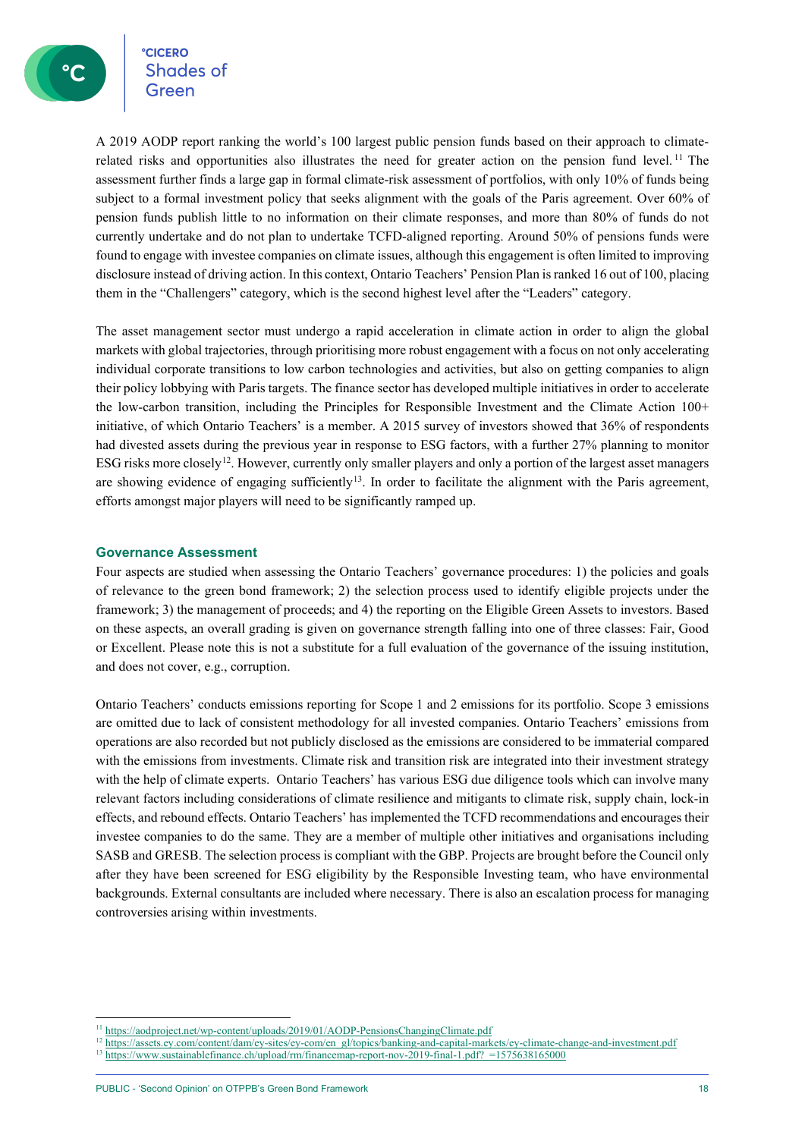**CICERO**<br>Shades of

A 2019 AODP report ranking the world's 100 largest public pension funds based on their approach to climaterelated risks and opportunities also illustrates the need for greater action on the pension fund level. [11](#page-17-0) The assessment further finds a large gap in formal climate-risk assessment of portfolios, with only 10% of funds being subject to a formal investment policy that seeks alignment with the goals of the Paris agreement. Over 60% of pension funds publish little to no information on their climate responses, and more than 80% of funds do not currently undertake and do not plan to undertake TCFD-aligned reporting. Around 50% of pensions funds were found to engage with investee companies on climate issues, although this engagement is often limited to improving disclosure instead of driving action. In this context, Ontario Teachers' Pension Plan is ranked 16 out of 100, placing them in the "Challengers" category, which is the second highest level after the "Leaders" category.

The asset management sector must undergo a rapid acceleration in climate action in order to align the global markets with global trajectories, through prioritising more robust engagement with a focus on not only accelerating individual corporate transitions to low carbon technologies and activities, but also on getting companies to align their policy lobbying with Paris targets. The finance sector has developed multiple initiatives in order to accelerate the low-carbon transition, including the Principles for Responsible Investment and the Climate Action 100+ initiative, of which Ontario Teachers' is a member. A 2015 survey of investors showed that 36% of respondents had divested assets during the previous year in response to ESG factors, with a further 27% planning to monitor ESG risks more closely<sup>12</sup>. However, currently only smaller players and only a portion of the largest asset managers are showing evidence of engaging sufficiently<sup>13</sup>. In order to facilitate the alignment with the Paris agreement, efforts amongst major players will need to be significantly ramped up.

#### **Governance Assessment**

Four aspects are studied when assessing the Ontario Teachers' governance procedures: 1) the policies and goals of relevance to the green bond framework; 2) the selection process used to identify eligible projects under the framework; 3) the management of proceeds; and 4) the reporting on the Eligible Green Assets to investors. Based on these aspects, an overall grading is given on governance strength falling into one of three classes: Fair, Good or Excellent. Please note this is not a substitute for a full evaluation of the governance of the issuing institution, and does not cover, e.g., corruption.

Ontario Teachers' conducts emissions reporting for Scope 1 and 2 emissions for its portfolio. Scope 3 emissions are omitted due to lack of consistent methodology for all invested companies. Ontario Teachers' emissions from operations are also recorded but not publicly disclosed as the emissions are considered to be immaterial compared with the emissions from investments. Climate risk and transition risk are integrated into their investment strategy with the help of climate experts. Ontario Teachers' has various ESG due diligence tools which can involve many relevant factors including considerations of climate resilience and mitigants to climate risk, supply chain, lock-in effects, and rebound effects. Ontario Teachers' has implemented the TCFD recommendations and encourages their investee companies to do the same. They are a member of multiple other initiatives and organisations including SASB and GRESB. The selection process is compliant with the GBP. Projects are brought before the Council only after they have been screened for ESG eligibility by the Responsible Investing team, who have environmental backgrounds. External consultants are included where necessary. There is also an escalation process for managing controversies arising within investments.

<span id="page-17-0"></span><sup>&</sup>lt;sup>11</sup> <https://aodproject.net/wp-content/uploads/2019/01/AODP-PensionsChangingClimate.pdf>

<sup>&</sup>lt;sup>12</sup> [https://assets.ey.com/content/dam/ey-sites/ey-com/en\\_gl/topics/banking-and-capital-markets/ey-climate-change-and-investment.pdf](https://assets.ey.com/content/dam/ey-sites/ey-com/en_gl/topics/banking-and-capital-markets/ey-climate-change-and-investment.pdf)

<span id="page-17-2"></span><span id="page-17-1"></span>https://www.sustainablefinance.ch/upload/rm/financemap-report-nov-2019-final-1.pdf? =1575638165000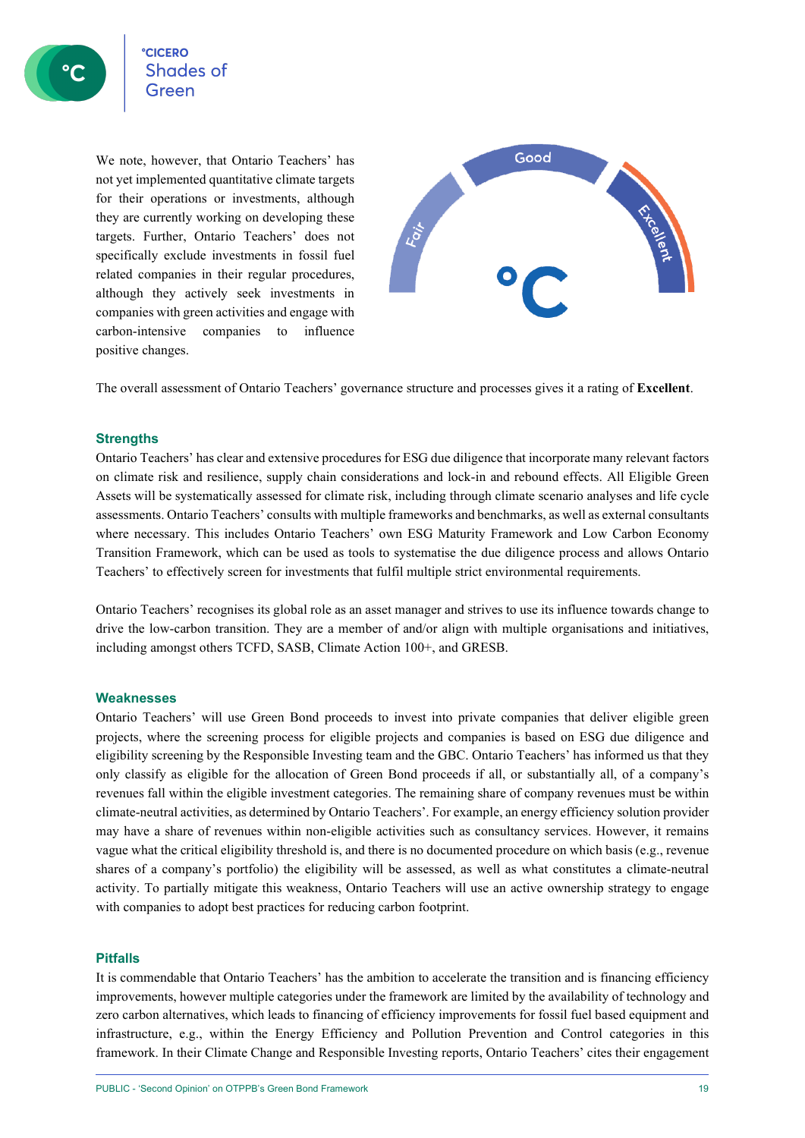We note, however, that Ontario Teachers' has not yet implemented quantitative climate targets for their operations or investments, although they are currently working on developing these targets. Further, Ontario Teachers' does not specifically exclude investments in fossil fuel related companies in their regular procedures, although they actively seek investments in companies with green activities and engage with carbon-intensive companies to influence positive changes.



The overall assessment of Ontario Teachers' governance structure and processes gives it a rating of **Excellent**.

#### **Strengths**

Ontario Teachers' has clear and extensive procedures for ESG due diligence that incorporate many relevant factors on climate risk and resilience, supply chain considerations and lock-in and rebound effects. All Eligible Green Assets will be systematically assessed for climate risk, including through climate scenario analyses and life cycle assessments. Ontario Teachers' consults with multiple frameworks and benchmarks, as well as external consultants where necessary. This includes Ontario Teachers' own ESG Maturity Framework and Low Carbon Economy Transition Framework, which can be used as tools to systematise the due diligence process and allows Ontario Teachers' to effectively screen for investments that fulfil multiple strict environmental requirements.

Ontario Teachers' recognises its global role as an asset manager and strives to use its influence towards change to drive the low-carbon transition. They are a member of and/or align with multiple organisations and initiatives, including amongst others TCFD, SASB, Climate Action 100+, and GRESB.

#### **Weaknesses**

Ontario Teachers' will use Green Bond proceeds to invest into private companies that deliver eligible green projects, where the screening process for eligible projects and companies is based on ESG due diligence and eligibility screening by the Responsible Investing team and the GBC. Ontario Teachers' has informed us that they only classify as eligible for the allocation of Green Bond proceeds if all, or substantially all, of a company's revenues fall within the eligible investment categories. The remaining share of company revenues must be within climate-neutral activities, as determined by Ontario Teachers'. For example, an energy efficiency solution provider may have a share of revenues within non-eligible activities such as consultancy services. However, it remains vague what the critical eligibility threshold is, and there is no documented procedure on which basis (e.g., revenue shares of a company's portfolio) the eligibility will be assessed, as well as what constitutes a climate-neutral activity. To partially mitigate this weakness, Ontario Teachers will use an active ownership strategy to engage with companies to adopt best practices for reducing carbon footprint.

#### **Pitfalls**

It is commendable that Ontario Teachers' has the ambition to accelerate the transition and is financing efficiency improvements, however multiple categories under the framework are limited by the availability of technology and zero carbon alternatives, which leads to financing of efficiency improvements for fossil fuel based equipment and infrastructure, e.g., within the Energy Efficiency and Pollution Prevention and Control categories in this framework. In their Climate Change and Responsible Investing reports, Ontario Teachers' cites their engagement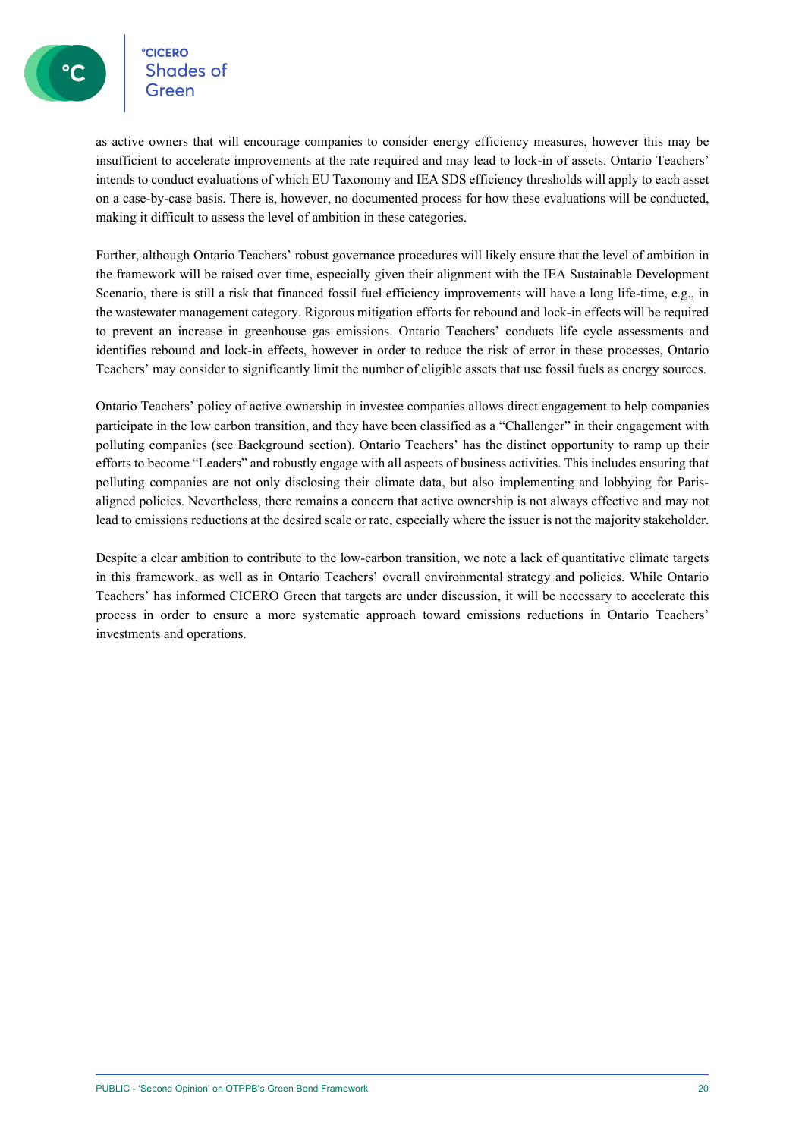Shades of

as active owners that will encourage companies to consider energy efficiency measures, however this may be insufficient to accelerate improvements at the rate required and may lead to lock-in of assets. Ontario Teachers' intends to conduct evaluations of which EU Taxonomy and IEA SDS efficiency thresholds will apply to each asset on a case-by-case basis. There is, however, no documented process for how these evaluations will be conducted, making it difficult to assess the level of ambition in these categories.

Further, although Ontario Teachers' robust governance procedures will likely ensure that the level of ambition in the framework will be raised over time, especially given their alignment with the IEA Sustainable Development Scenario, there is still a risk that financed fossil fuel efficiency improvements will have a long life-time, e.g., in the wastewater management category. Rigorous mitigation efforts for rebound and lock-in effects will be required to prevent an increase in greenhouse gas emissions. Ontario Teachers' conducts life cycle assessments and identifies rebound and lock-in effects, however in order to reduce the risk of error in these processes, Ontario Teachers' may consider to significantly limit the number of eligible assets that use fossil fuels as energy sources.

Ontario Teachers' policy of active ownership in investee companies allows direct engagement to help companies participate in the low carbon transition, and they have been classified as a "Challenger" in their engagement with polluting companies (see Background section). Ontario Teachers' has the distinct opportunity to ramp up their efforts to become "Leaders" and robustly engage with all aspects of business activities. This includes ensuring that polluting companies are not only disclosing their climate data, but also implementing and lobbying for Parisaligned policies. Nevertheless, there remains a concern that active ownership is not always effective and may not lead to emissions reductions at the desired scale or rate, especially where the issuer is not the majority stakeholder.

Despite a clear ambition to contribute to the low-carbon transition, we note a lack of quantitative climate targets in this framework, as well as in Ontario Teachers' overall environmental strategy and policies. While Ontario Teachers' has informed CICERO Green that targets are under discussion, it will be necessary to accelerate this process in order to ensure a more systematic approach toward emissions reductions in Ontario Teachers' investments and operations.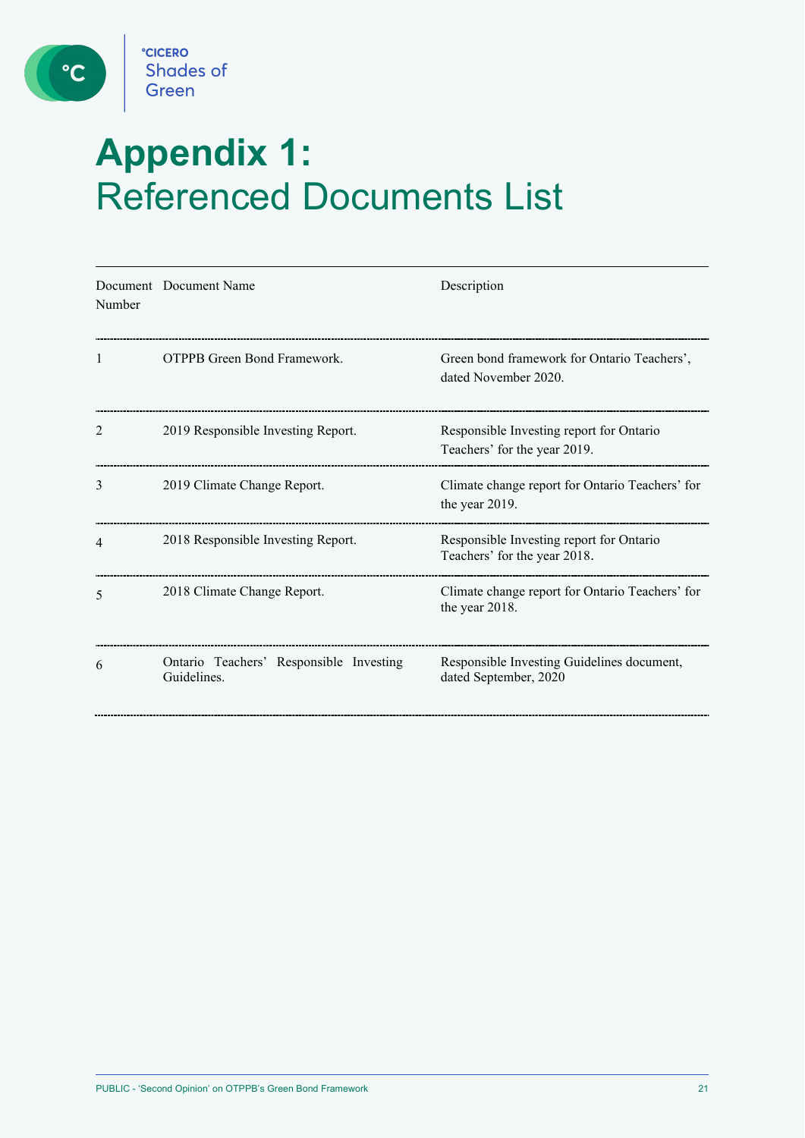

 $\bullet$ 

# **Appendix 1:**  Referenced Documents List

| Number | Document Document Name                                 | Description                                                              |
|--------|--------------------------------------------------------|--------------------------------------------------------------------------|
| 1      | <b>OTPPB</b> Green Bond Framework.                     | Green bond framework for Ontario Teachers',<br>dated November 2020.      |
| 2      | 2019 Responsible Investing Report.                     | Responsible Investing report for Ontario<br>Teachers' for the year 2019. |
| 3      | 2019 Climate Change Report.                            | Climate change report for Ontario Teachers' for<br>the year 2019.        |
| 4      | 2018 Responsible Investing Report.                     | Responsible Investing report for Ontario<br>Teachers' for the year 2018. |
| 5      | 2018 Climate Change Report.                            | Climate change report for Ontario Teachers' for<br>the year 2018.        |
| 6      | Ontario Teachers' Responsible Investing<br>Guidelines. | Responsible Investing Guidelines document,<br>dated September, 2020      |